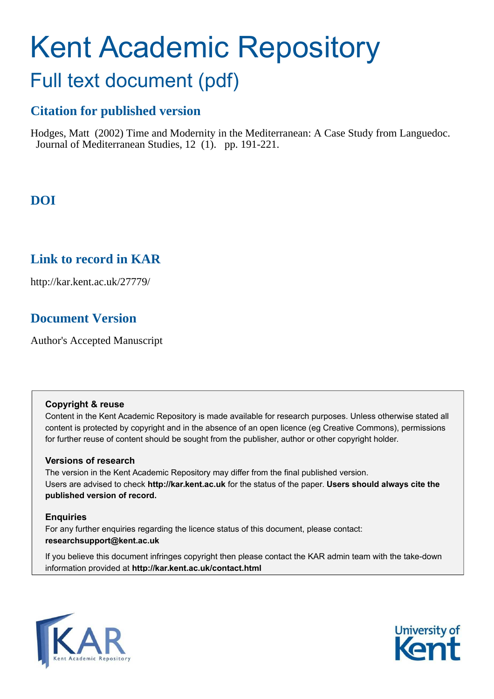# Kent Academic Repository

## Full text document (pdf)

### **Citation for published version**

Hodges, Matt (2002) Time and Modernity in the Mediterranean: A Case Study from Languedoc. Journal of Mediterranean Studies, 12 (1). pp. 191-221.

## **DOI**

## **Link to record in KAR**

http://kar.kent.ac.uk/27779/

## **Document Version**

Author's Accepted Manuscript

#### **Copyright & reuse**

Content in the Kent Academic Repository is made available for research purposes. Unless otherwise stated all content is protected by copyright and in the absence of an open licence (eg Creative Commons), permissions for further reuse of content should be sought from the publisher, author or other copyright holder.

#### **Versions of research**

The version in the Kent Academic Repository may differ from the final published version. Users are advised to check **http://kar.kent.ac.uk** for the status of the paper. **Users should always cite the published version of record.**

#### **Enquiries**

For any further enquiries regarding the licence status of this document, please contact: **researchsupport@kent.ac.uk**

If you believe this document infringes copyright then please contact the KAR admin team with the take-down information provided at **http://kar.kent.ac.uk/contact.html**



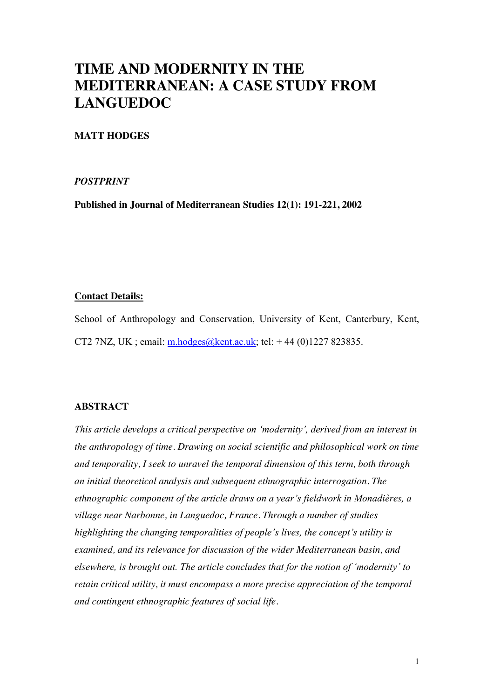## **TIME AND MODERNITY IN THE MEDITERRANEAN: A CASE STUDY FROM LANGUEDOC**

#### **MATT HODGES**

#### *POSTPRINT*

**Published in Journal of Mediterranean Studies 12(1): 191-221, 2002** 

#### **Contact Details:**

School of Anthropology and Conservation, University of Kent, Canterbury, Kent, CT2 7NZ, UK; email:  $m \cdot \frac{\text{hodges}}{m \cdot \text{hodges}}$  (e.g.  $k$ ; tel: +44 (0)1227 823835.

#### **ABSTRACT**

*This article develops a critical perspective on 'modernity', derived from an interest in the anthropology of time. Drawing on social scientific and philosophical work on time and temporality, I seek to unravel the temporal dimension of this term, both through an initial theoretical analysis and subsequent ethnographic interrogation. The ethnographic component of the article draws on a year's fieldwork in Monadières, a village near Narbonne, in Languedoc, France. Through a number of studies highlighting the changing temporalities of people's lives, the concept's utility is examined, and its relevance for discussion of the wider Mediterranean basin, and elsewhere, is brought out. The article concludes that for the notion of 'modernity' to retain critical utility, it must encompass a more precise appreciation of the temporal and contingent ethnographic features of social life.*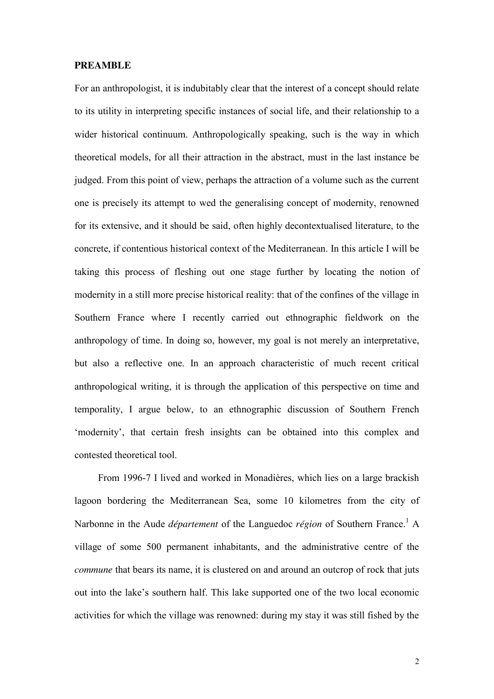#### **PREAMBLE**

For an anthropologist, it is indubitably clear that the interest of a concept should relate to its utility in interpreting specific instances of social life, and their relationship to a wider historical continuum. Anthropologically speaking, such is the way in which theoretical models, for all their attraction in the abstract, must in the last instance be judged. From this point of view, perhaps the attraction of a volume such as the current one is precisely its attempt to wed the generalising concept of modernity, renowned for its extensive, and it should be said, often highly decontextualised literature, to the concrete, if contentious historical context of the Mediterranean. In this article I will be taking this process of fleshing out one stage further by locating the notion of modernity in a still more precise historical reality: that of the confines of the village in Southern France where I recently carried out ethnographic fieldwork on the anthropology of time. In doing so, however, my goal is not merely an interpretative, but also a reflective one. In an approach characteristic of much recent critical anthropological writing, it is through the application of this perspective on time and temporality, I argue below, to an ethnographic discussion of Southern French 'modernity', that certain fresh insights can be obtained into this complex and contested theoretical tool.

 From 1996-7 I lived and worked in Monadières, which lies on a large brackish lagoon bordering the Mediterranean Sea, some 10 kilometres from the city of Narbonne in the Aude *département* of the Languedoc *région* of Southern France.<sup>1</sup> A village of some 500 permanent inhabitants, and the administrative centre of the *commune* that bears its name, it is clustered on and around an outcrop of rock that juts out into the lake's southern half. This lake supported one of the two local economic activities for which the village was renowned: during my stay it was still fished by the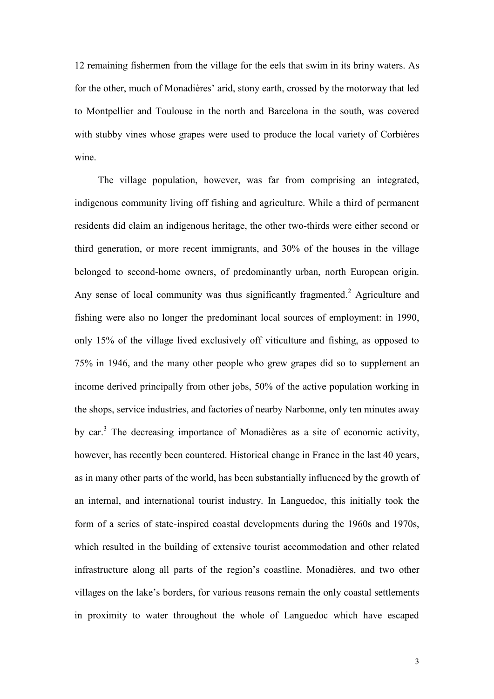12 remaining fishermen from the village for the eels that swim in its briny waters. As for the other, much of Monadières' arid, stony earth, crossed by the motorway that led to Montpellier and Toulouse in the north and Barcelona in the south, was covered with stubby vines whose grapes were used to produce the local variety of Corbières wine.

 The village population, however, was far from comprising an integrated, indigenous community living off fishing and agriculture. While a third of permanent residents did claim an indigenous heritage, the other two-thirds were either second or third generation, or more recent immigrants, and 30% of the houses in the village belonged to second-home owners, of predominantly urban, north European origin. Any sense of local community was thus significantly fragmented.<sup>2</sup> Agriculture and fishing were also no longer the predominant local sources of employment: in 1990, only 15% of the village lived exclusively off viticulture and fishing, as opposed to 75% in 1946, and the many other people who grew grapes did so to supplement an income derived principally from other jobs, 50% of the active population working in the shops, service industries, and factories of nearby Narbonne, only ten minutes away by car.<sup>3</sup> The decreasing importance of Monadières as a site of economic activity, however, has recently been countered. Historical change in France in the last 40 years, as in many other parts of the world, has been substantially influenced by the growth of an internal, and international tourist industry. In Languedoc, this initially took the form of a series of state-inspired coastal developments during the 1960s and 1970s, which resulted in the building of extensive tourist accommodation and other related infrastructure along all parts of the region's coastline. Monadières, and two other villages on the lake's borders, for various reasons remain the only coastal settlements in proximity to water throughout the whole of Languedoc which have escaped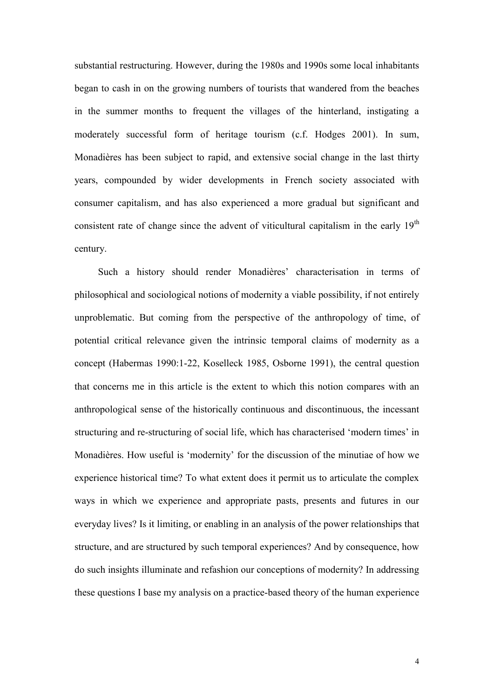substantial restructuring. However, during the 1980s and 1990s some local inhabitants began to cash in on the growing numbers of tourists that wandered from the beaches in the summer months to frequent the villages of the hinterland, instigating a moderately successful form of heritage tourism (c.f. Hodges 2001). In sum, Monadières has been subject to rapid, and extensive social change in the last thirty years, compounded by wider developments in French society associated with consumer capitalism, and has also experienced a more gradual but significant and consistent rate of change since the advent of viticultural capitalism in the early 19<sup>th</sup> century.

Such a history should render Monadières' characterisation in terms of philosophical and sociological notions of modernity a viable possibility, if not entirely unproblematic. But coming from the perspective of the anthropology of time, of potential critical relevance given the intrinsic temporal claims of modernity as a concept (Habermas 1990:1-22, Koselleck 1985, Osborne 1991), the central question that concerns me in this article is the extent to which this notion compares with an anthropological sense of the historically continuous and discontinuous, the incessant structuring and re-structuring of social life, which has characterised 'modern times' in Monadières. How useful is 'modernity' for the discussion of the minutiae of how we experience historical time? To what extent does it permit us to articulate the complex ways in which we experience and appropriate pasts, presents and futures in our everyday lives? Is it limiting, or enabling in an analysis of the power relationships that structure, and are structured by such temporal experiences? And by consequence, how do such insights illuminate and refashion our conceptions of modernity? In addressing these questions I base my analysis on a practice-based theory of the human experience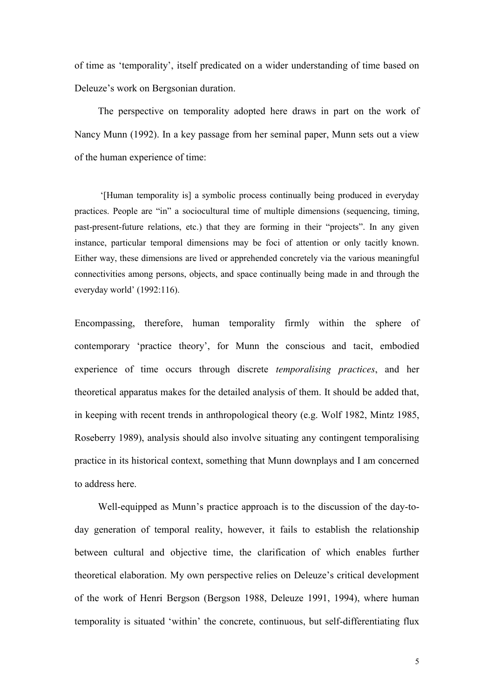of time as 'temporality', itself predicated on a wider understanding of time based on Deleuze's work on Bergsonian duration.

 The perspective on temporality adopted here draws in part on the work of Nancy Munn (1992). In a key passage from her seminal paper, Munn sets out a view of the human experience of time:

 '[Human temporality is] a symbolic process continually being produced in everyday practices. People are "in" a sociocultural time of multiple dimensions (sequencing, timing, past-present-future relations, etc.) that they are forming in their "projects". In any given instance, particular temporal dimensions may be foci of attention or only tacitly known. Either way, these dimensions are lived or apprehended concretely via the various meaningful connectivities among persons, objects, and space continually being made in and through the everyday world' (1992:116).

Encompassing, therefore, human temporality firmly within the sphere of contemporary 'practice theory', for Munn the conscious and tacit, embodied experience of time occurs through discrete *temporalising practices*, and her theoretical apparatus makes for the detailed analysis of them. It should be added that, in keeping with recent trends in anthropological theory (e.g. Wolf 1982, Mintz 1985, Roseberry 1989), analysis should also involve situating any contingent temporalising practice in its historical context, something that Munn downplays and I am concerned to address here.

 Well-equipped as Munn's practice approach is to the discussion of the day-today generation of temporal reality, however, it fails to establish the relationship between cultural and objective time, the clarification of which enables further theoretical elaboration. My own perspective relies on Deleuze's critical development of the work of Henri Bergson (Bergson 1988, Deleuze 1991, 1994), where human temporality is situated 'within' the concrete, continuous, but self-differentiating flux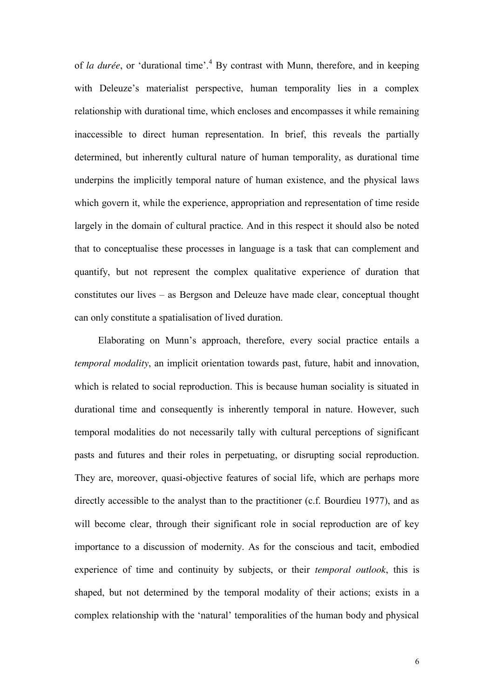of *la durée*, or 'durational time'.<sup>4</sup> By contrast with Munn, therefore, and in keeping with Deleuze's materialist perspective, human temporality lies in a complex relationship with durational time, which encloses and encompasses it while remaining inaccessible to direct human representation. In brief, this reveals the partially determined, but inherently cultural nature of human temporality, as durational time underpins the implicitly temporal nature of human existence, and the physical laws which govern it, while the experience, appropriation and representation of time reside largely in the domain of cultural practice. And in this respect it should also be noted that to conceptualise these processes in language is a task that can complement and quantify, but not represent the complex qualitative experience of duration that constitutes our lives – as Bergson and Deleuze have made clear, conceptual thought can only constitute a spatialisation of lived duration.

 Elaborating on Munn's approach, therefore, every social practice entails a *temporal modality*, an implicit orientation towards past, future, habit and innovation, which is related to social reproduction. This is because human sociality is situated in durational time and consequently is inherently temporal in nature. However, such temporal modalities do not necessarily tally with cultural perceptions of significant pasts and futures and their roles in perpetuating, or disrupting social reproduction. They are, moreover, quasi-objective features of social life, which are perhaps more directly accessible to the analyst than to the practitioner (c.f. Bourdieu 1977), and as will become clear, through their significant role in social reproduction are of key importance to a discussion of modernity. As for the conscious and tacit, embodied experience of time and continuity by subjects, or their *temporal outlook*, this is shaped, but not determined by the temporal modality of their actions; exists in a complex relationship with the 'natural' temporalities of the human body and physical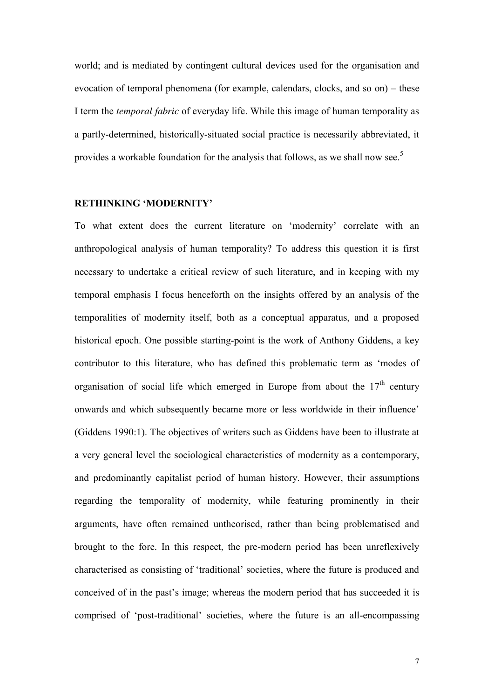world; and is mediated by contingent cultural devices used for the organisation and evocation of temporal phenomena (for example, calendars, clocks, and so on) – these I term the *temporal fabric* of everyday life. While this image of human temporality as a partly-determined, historically-situated social practice is necessarily abbreviated, it provides a workable foundation for the analysis that follows, as we shall now see.<sup>5</sup>

#### **RETHINKING 'MODERNITY'**

To what extent does the current literature on 'modernity' correlate with an anthropological analysis of human temporality? To address this question it is first necessary to undertake a critical review of such literature, and in keeping with my temporal emphasis I focus henceforth on the insights offered by an analysis of the temporalities of modernity itself, both as a conceptual apparatus, and a proposed historical epoch. One possible starting-point is the work of Anthony Giddens, a key contributor to this literature, who has defined this problematic term as 'modes of organisation of social life which emerged in Europe from about the  $17<sup>th</sup>$  century onwards and which subsequently became more or less worldwide in their influence' (Giddens 1990:1). The objectives of writers such as Giddens have been to illustrate at a very general level the sociological characteristics of modernity as a contemporary, and predominantly capitalist period of human history. However, their assumptions regarding the temporality of modernity, while featuring prominently in their arguments, have often remained untheorised, rather than being problematised and brought to the fore. In this respect, the pre-modern period has been unreflexively characterised as consisting of 'traditional' societies, where the future is produced and conceived of in the past's image; whereas the modern period that has succeeded it is comprised of 'post-traditional' societies, where the future is an all-encompassing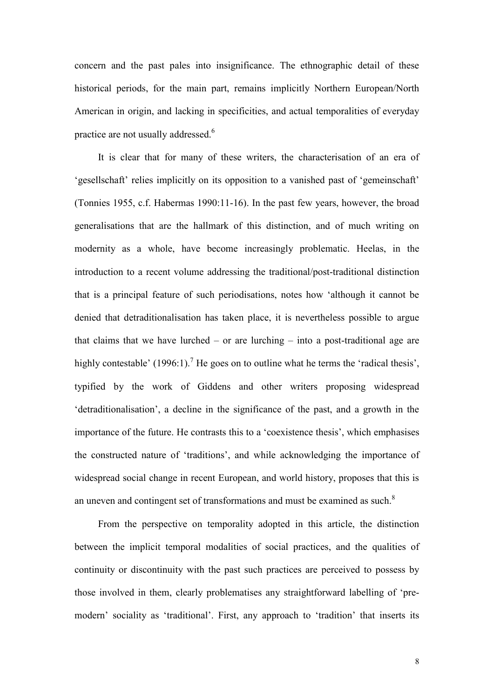concern and the past pales into insignificance. The ethnographic detail of these historical periods, for the main part, remains implicitly Northern European/North American in origin, and lacking in specificities, and actual temporalities of everyday practice are not usually addressed.<sup>6</sup>

 It is clear that for many of these writers, the characterisation of an era of 'gesellschaft' relies implicitly on its opposition to a vanished past of 'gemeinschaft' (Tonnies 1955, c.f. Habermas 1990:11-16). In the past few years, however, the broad generalisations that are the hallmark of this distinction, and of much writing on modernity as a whole, have become increasingly problematic. Heelas, in the introduction to a recent volume addressing the traditional/post-traditional distinction that is a principal feature of such periodisations, notes how 'although it cannot be denied that detraditionalisation has taken place, it is nevertheless possible to argue that claims that we have lurched – or are lurching – into a post-traditional age are highly contestable' (1996:1).<sup>7</sup> He goes on to outline what he terms the 'radical thesis', typified by the work of Giddens and other writers proposing widespread 'detraditionalisation', a decline in the significance of the past, and a growth in the importance of the future. He contrasts this to a 'coexistence thesis', which emphasises the constructed nature of 'traditions', and while acknowledging the importance of widespread social change in recent European, and world history, proposes that this is an uneven and contingent set of transformations and must be examined as such. $8$ 

 From the perspective on temporality adopted in this article, the distinction between the implicit temporal modalities of social practices, and the qualities of continuity or discontinuity with the past such practices are perceived to possess by those involved in them, clearly problematises any straightforward labelling of 'premodern' sociality as 'traditional'. First, any approach to 'tradition' that inserts its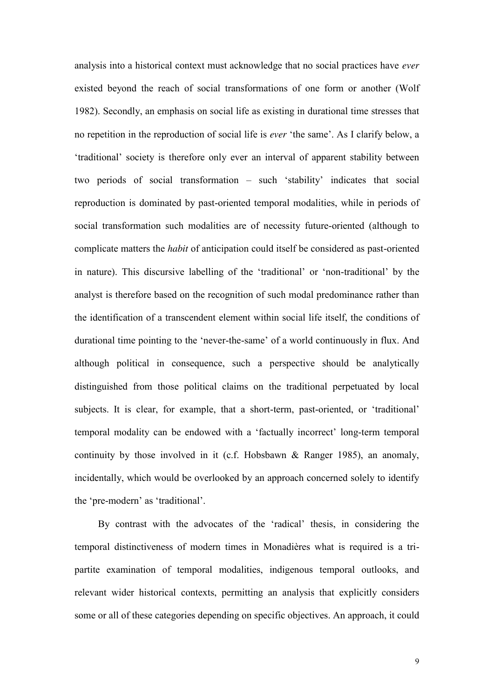analysis into a historical context must acknowledge that no social practices have *ever* existed beyond the reach of social transformations of one form or another (Wolf 1982). Secondly, an emphasis on social life as existing in durational time stresses that no repetition in the reproduction of social life is *ever* 'the same'. As I clarify below, a 'traditional' society is therefore only ever an interval of apparent stability between two periods of social transformation – such 'stability' indicates that social reproduction is dominated by past-oriented temporal modalities, while in periods of social transformation such modalities are of necessity future-oriented (although to complicate matters the *habit* of anticipation could itself be considered as past-oriented in nature). This discursive labelling of the 'traditional' or 'non-traditional' by the analyst is therefore based on the recognition of such modal predominance rather than the identification of a transcendent element within social life itself, the conditions of durational time pointing to the 'never-the-same' of a world continuously in flux. And although political in consequence, such a perspective should be analytically distinguished from those political claims on the traditional perpetuated by local subjects. It is clear, for example, that a short-term, past-oriented, or 'traditional' temporal modality can be endowed with a 'factually incorrect' long-term temporal continuity by those involved in it (c.f. Hobsbawn & Ranger 1985), an anomaly, incidentally, which would be overlooked by an approach concerned solely to identify the 'pre-modern' as 'traditional'.

 By contrast with the advocates of the 'radical' thesis, in considering the temporal distinctiveness of modern times in Monadières what is required is a tripartite examination of temporal modalities, indigenous temporal outlooks, and relevant wider historical contexts, permitting an analysis that explicitly considers some or all of these categories depending on specific objectives. An approach, it could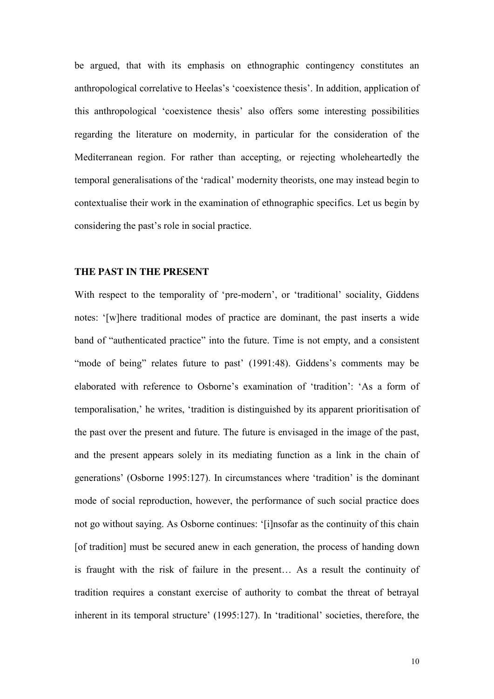be argued, that with its emphasis on ethnographic contingency constitutes an anthropological correlative to Heelas's 'coexistence thesis'. In addition, application of this anthropological 'coexistence thesis' also offers some interesting possibilities regarding the literature on modernity, in particular for the consideration of the Mediterranean region. For rather than accepting, or rejecting wholeheartedly the temporal generalisations of the 'radical' modernity theorists, one may instead begin to contextualise their work in the examination of ethnographic specifics. Let us begin by considering the past's role in social practice.

#### **THE PAST IN THE PRESENT**

With respect to the temporality of 'pre-modern', or 'traditional' sociality, Giddens notes: '[w]here traditional modes of practice are dominant, the past inserts a wide band of "authenticated practice" into the future. Time is not empty, and a consistent "mode of being" relates future to past" (1991:48). Giddens's comments may be elaborated with reference to Osborne's examination of 'tradition': 'As a form of temporalisation,' he writes, 'tradition is distinguished by its apparent prioritisation of the past over the present and future. The future is envisaged in the image of the past, and the present appears solely in its mediating function as a link in the chain of generations' (Osborne 1995:127). In circumstances where 'tradition' is the dominant mode of social reproduction, however, the performance of such social practice does not go without saying. As Osborne continues: '[i]nsofar as the continuity of this chain [of tradition] must be secured anew in each generation, the process of handing down is fraught with the risk of failure in the present... As a result the continuity of tradition requires a constant exercise of authority to combat the threat of betrayal inherent in its temporal structure' (1995:127). In 'traditional' societies, therefore, the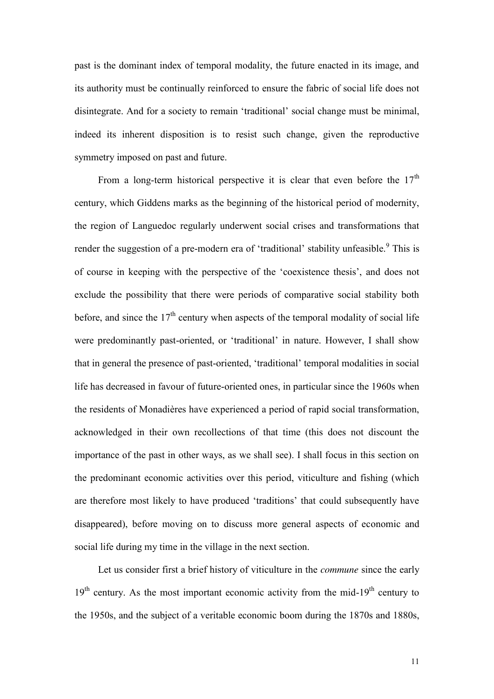past is the dominant index of temporal modality, the future enacted in its image, and its authority must be continually reinforced to ensure the fabric of social life does not disintegrate. And for a society to remain 'traditional' social change must be minimal, indeed its inherent disposition is to resist such change, given the reproductive symmetry imposed on past and future.

From a long-term historical perspective it is clear that even before the  $17<sup>th</sup>$ century, which Giddens marks as the beginning of the historical period of modernity, the region of Languedoc regularly underwent social crises and transformations that render the suggestion of a pre-modern era of 'traditional' stability unfeasible.<sup>9</sup> This is of course in keeping with the perspective of the 'coexistence thesis', and does not exclude the possibility that there were periods of comparative social stability both before, and since the  $17<sup>th</sup>$  century when aspects of the temporal modality of social life were predominantly past-oriented, or 'traditional' in nature. However, I shall show that in general the presence of past-oriented, 'traditional' temporal modalities in social life has decreased in favour of future-oriented ones, in particular since the 1960s when the residents of Monadières have experienced a period of rapid social transformation, acknowledged in their own recollections of that time (this does not discount the importance of the past in other ways, as we shall see). I shall focus in this section on the predominant economic activities over this period, viticulture and fishing (which are therefore most likely to have produced 'traditions' that could subsequently have disappeared), before moving on to discuss more general aspects of economic and social life during my time in the village in the next section.

 Let us consider first a brief history of viticulture in the *commune* since the early  $19<sup>th</sup>$  century. As the most important economic activity from the mid-19<sup>th</sup> century to the 1950s, and the subject of a veritable economic boom during the 1870s and 1880s,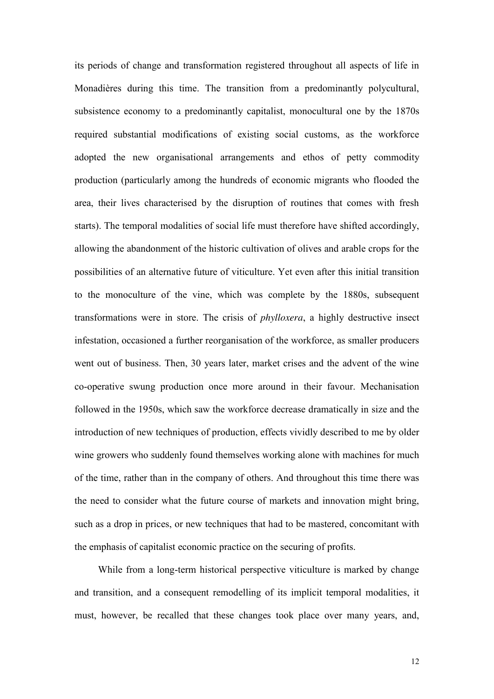its periods of change and transformation registered throughout all aspects of life in Monadières during this time. The transition from a predominantly polycultural, subsistence economy to a predominantly capitalist, monocultural one by the 1870s required substantial modifications of existing social customs, as the workforce adopted the new organisational arrangements and ethos of petty commodity production (particularly among the hundreds of economic migrants who flooded the area, their lives characterised by the disruption of routines that comes with fresh starts). The temporal modalities of social life must therefore have shifted accordingly, allowing the abandonment of the historic cultivation of olives and arable crops for the possibilities of an alternative future of viticulture. Yet even after this initial transition to the monoculture of the vine, which was complete by the 1880s, subsequent transformations were in store. The crisis of *phylloxera*, a highly destructive insect infestation, occasioned a further reorganisation of the workforce, as smaller producers went out of business. Then, 30 years later, market crises and the advent of the wine co-operative swung production once more around in their favour. Mechanisation followed in the 1950s, which saw the workforce decrease dramatically in size and the introduction of new techniques of production, effects vividly described to me by older wine growers who suddenly found themselves working alone with machines for much of the time, rather than in the company of others. And throughout this time there was the need to consider what the future course of markets and innovation might bring, such as a drop in prices, or new techniques that had to be mastered, concomitant with the emphasis of capitalist economic practice on the securing of profits.

 While from a long-term historical perspective viticulture is marked by change and transition, and a consequent remodelling of its implicit temporal modalities, it must, however, be recalled that these changes took place over many years, and,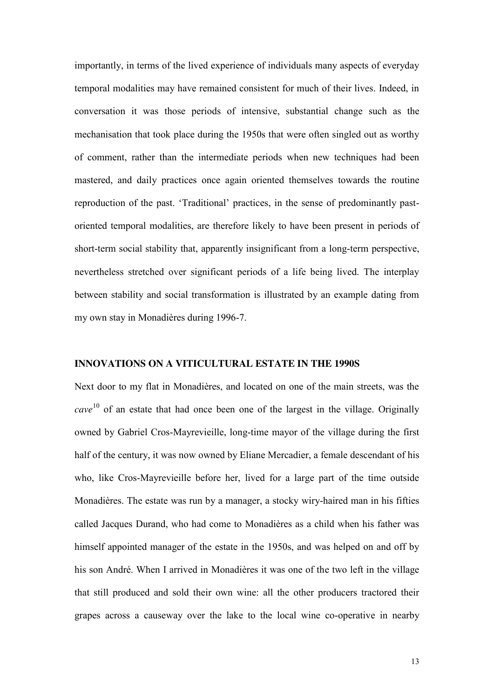importantly, in terms of the lived experience of individuals many aspects of everyday temporal modalities may have remained consistent for much of their lives. Indeed, in conversation it was those periods of intensive, substantial change such as the mechanisation that took place during the 1950s that were often singled out as worthy of comment, rather than the intermediate periods when new techniques had been mastered, and daily practices once again oriented themselves towards the routine reproduction of the past. 'Traditional' practices, in the sense of predominantly pastoriented temporal modalities, are therefore likely to have been present in periods of short-term social stability that, apparently insignificant from a long-term perspective, nevertheless stretched over significant periods of a life being lived. The interplay between stability and social transformation is illustrated by an example dating from my own stay in Monadières during 1996-7.

#### **INNOVATIONS ON A VITICULTURAL ESTATE IN THE 1990S**

Next door to my flat in Monadières, and located on one of the main streets, was the *cave* <sup>10</sup> of an estate that had once been one of the largest in the village. Originally owned by Gabriel Cros-Mayrevieille, long-time mayor of the village during the first half of the century, it was now owned by Eliane Mercadier, a female descendant of his who, like Cros-Mayrevieille before her, lived for a large part of the time outside Monadières. The estate was run by a manager, a stocky wiry-haired man in his fifties called Jacques Durand, who had come to Monadières as a child when his father was himself appointed manager of the estate in the 1950s, and was helped on and off by his son André. When I arrived in Monadières it was one of the two left in the village that still produced and sold their own wine: all the other producers tractored their grapes across a causeway over the lake to the local wine co-operative in nearby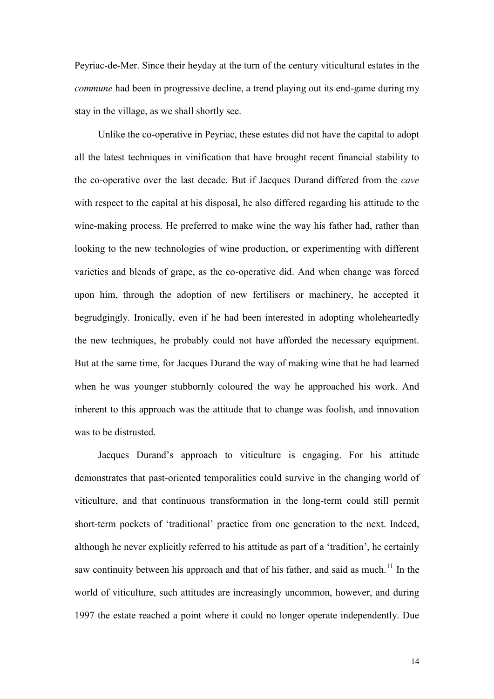Peyriac-de-Mer. Since their heyday at the turn of the century viticultural estates in the *commune* had been in progressive decline, a trend playing out its end-game during my stay in the village, as we shall shortly see.

 Unlike the co-operative in Peyriac, these estates did not have the capital to adopt all the latest techniques in vinification that have brought recent financial stability to the co-operative over the last decade. But if Jacques Durand differed from the *cave* with respect to the capital at his disposal, he also differed regarding his attitude to the wine-making process. He preferred to make wine the way his father had, rather than looking to the new technologies of wine production, or experimenting with different varieties and blends of grape, as the co-operative did. And when change was forced upon him, through the adoption of new fertilisers or machinery, he accepted it begrudgingly. Ironically, even if he had been interested in adopting wholeheartedly the new techniques, he probably could not have afforded the necessary equipment. But at the same time, for Jacques Durand the way of making wine that he had learned when he was younger stubbornly coloured the way he approached his work. And inherent to this approach was the attitude that to change was foolish, and innovation was to be distrusted.

 Jacques Durand's approach to viticulture is engaging. For his attitude demonstrates that past-oriented temporalities could survive in the changing world of viticulture, and that continuous transformation in the long-term could still permit short-term pockets of 'traditional' practice from one generation to the next. Indeed, although he never explicitly referred to his attitude as part of a 'tradition', he certainly saw continuity between his approach and that of his father, and said as much.<sup>11</sup> In the world of viticulture, such attitudes are increasingly uncommon, however, and during 1997 the estate reached a point where it could no longer operate independently. Due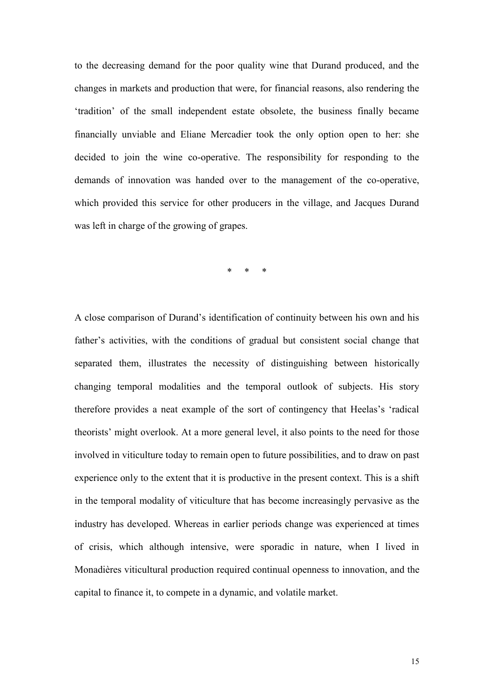to the decreasing demand for the poor quality wine that Durand produced, and the changes in markets and production that were, for financial reasons, also rendering the 'tradition' of the small independent estate obsolete, the business finally became financially unviable and Eliane Mercadier took the only option open to her: she decided to join the wine co-operative. The responsibility for responding to the demands of innovation was handed over to the management of the co-operative, which provided this service for other producers in the village, and Jacques Durand was left in charge of the growing of grapes.

\* \* \*

A close comparison of Durand's identification of continuity between his own and his father's activities, with the conditions of gradual but consistent social change that separated them, illustrates the necessity of distinguishing between historically changing temporal modalities and the temporal outlook of subjects. His story therefore provides a neat example of the sort of contingency that Heelas's 'radical theorists' might overlook. At a more general level, it also points to the need for those involved in viticulture today to remain open to future possibilities, and to draw on past experience only to the extent that it is productive in the present context. This is a shift in the temporal modality of viticulture that has become increasingly pervasive as the industry has developed. Whereas in earlier periods change was experienced at times of crisis, which although intensive, were sporadic in nature, when I lived in Monadières viticultural production required continual openness to innovation, and the capital to finance it, to compete in a dynamic, and volatile market.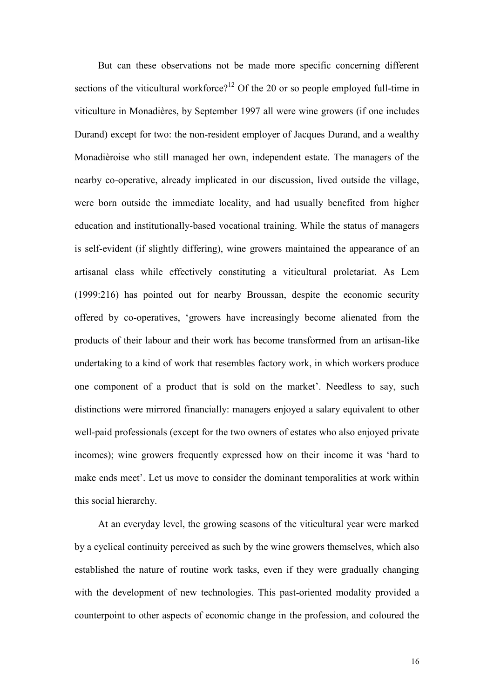But can these observations not be made more specific concerning different sections of the viticultural workforce?<sup>12</sup> Of the 20 or so people employed full-time in viticulture in Monadières, by September 1997 all were wine growers (if one includes Durand) except for two: the non-resident employer of Jacques Durand, and a wealthy Monadièroise who still managed her own, independent estate. The managers of the nearby co-operative, already implicated in our discussion, lived outside the village, were born outside the immediate locality, and had usually benefited from higher education and institutionally-based vocational training. While the status of managers is self-evident (if slightly differing), wine growers maintained the appearance of an artisanal class while effectively constituting a viticultural proletariat. As Lem (1999:216) has pointed out for nearby Broussan, despite the economic security offered by co-operatives, 'growers have increasingly become alienated from the products of their labour and their work has become transformed from an artisan-like undertaking to a kind of work that resembles factory work, in which workers produce one component of a product that is sold on the market'. Needless to say, such distinctions were mirrored financially: managers enjoyed a salary equivalent to other well-paid professionals (except for the two owners of estates who also enjoyed private incomes); wine growers frequently expressed how on their income it was 'hard to make ends meet'. Let us move to consider the dominant temporalities at work within this social hierarchy.

 At an everyday level, the growing seasons of the viticultural year were marked by a cyclical continuity perceived as such by the wine growers themselves, which also established the nature of routine work tasks, even if they were gradually changing with the development of new technologies. This past-oriented modality provided a counterpoint to other aspects of economic change in the profession, and coloured the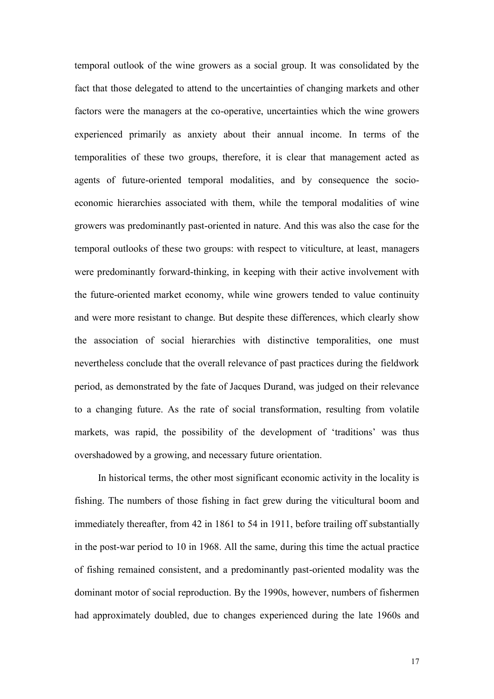temporal outlook of the wine growers as a social group. It was consolidated by the fact that those delegated to attend to the uncertainties of changing markets and other factors were the managers at the co-operative, uncertainties which the wine growers experienced primarily as anxiety about their annual income. In terms of the temporalities of these two groups, therefore, it is clear that management acted as agents of future-oriented temporal modalities, and by consequence the socioeconomic hierarchies associated with them, while the temporal modalities of wine growers was predominantly past-oriented in nature. And this was also the case for the temporal outlooks of these two groups: with respect to viticulture, at least, managers were predominantly forward-thinking, in keeping with their active involvement with the future-oriented market economy, while wine growers tended to value continuity and were more resistant to change. But despite these differences, which clearly show the association of social hierarchies with distinctive temporalities, one must nevertheless conclude that the overall relevance of past practices during the fieldwork period, as demonstrated by the fate of Jacques Durand, was judged on their relevance to a changing future. As the rate of social transformation, resulting from volatile markets, was rapid, the possibility of the development of 'traditions' was thus overshadowed by a growing, and necessary future orientation.

 In historical terms, the other most significant economic activity in the locality is fishing. The numbers of those fishing in fact grew during the viticultural boom and immediately thereafter, from 42 in 1861 to 54 in 1911, before trailing off substantially in the post-war period to 10 in 1968. All the same, during this time the actual practice of fishing remained consistent, and a predominantly past-oriented modality was the dominant motor of social reproduction. By the 1990s, however, numbers of fishermen had approximately doubled, due to changes experienced during the late 1960s and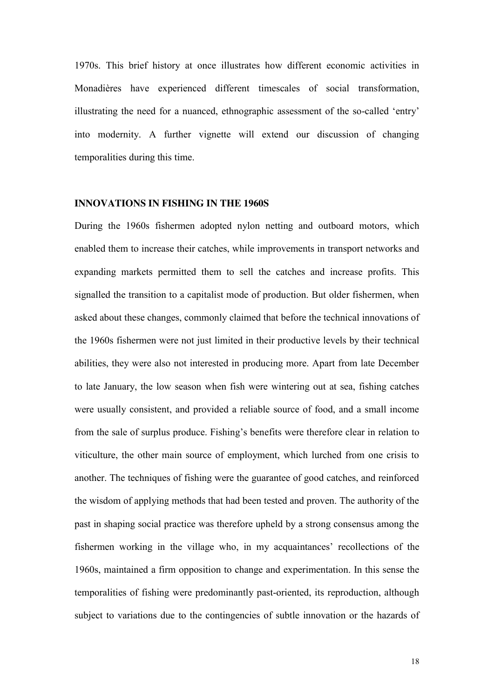1970s. This brief history at once illustrates how different economic activities in Monadières have experienced different timescales of social transformation, illustrating the need for a nuanced, ethnographic assessment of the so-called 'entry' into modernity. A further vignette will extend our discussion of changing temporalities during this time.

#### **INNOVATIONS IN FISHING IN THE 1960S**

During the 1960s fishermen adopted nylon netting and outboard motors, which enabled them to increase their catches, while improvements in transport networks and expanding markets permitted them to sell the catches and increase profits. This signalled the transition to a capitalist mode of production. But older fishermen, when asked about these changes, commonly claimed that before the technical innovations of the 1960s fishermen were not just limited in their productive levels by their technical abilities, they were also not interested in producing more. Apart from late December to late January, the low season when fish were wintering out at sea, fishing catches were usually consistent, and provided a reliable source of food, and a small income from the sale of surplus produce. Fishing's benefits were therefore clear in relation to viticulture, the other main source of employment, which lurched from one crisis to another. The techniques of fishing were the guarantee of good catches, and reinforced the wisdom of applying methods that had been tested and proven. The authority of the past in shaping social practice was therefore upheld by a strong consensus among the fishermen working in the village who, in my acquaintances' recollections of the 1960s, maintained a firm opposition to change and experimentation. In this sense the temporalities of fishing were predominantly past-oriented, its reproduction, although subject to variations due to the contingencies of subtle innovation or the hazards of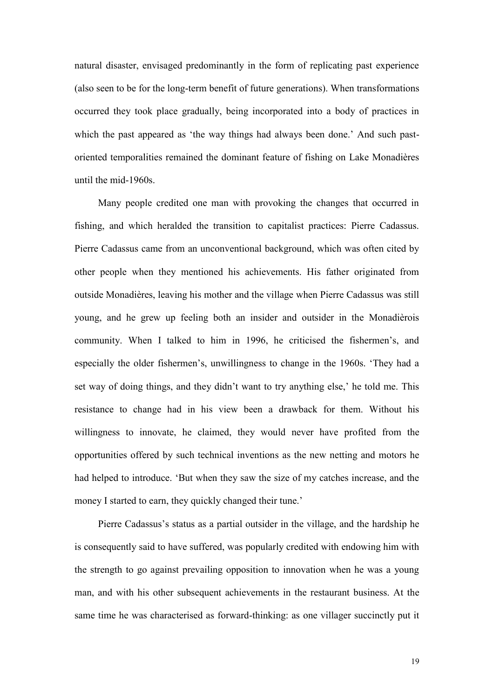natural disaster, envisaged predominantly in the form of replicating past experience (also seen to be for the long-term benefit of future generations). When transformations occurred they took place gradually, being incorporated into a body of practices in which the past appeared as 'the way things had always been done.' And such pastoriented temporalities remained the dominant feature of fishing on Lake Monadières until the mid-1960s.

 Many people credited one man with provoking the changes that occurred in fishing, and which heralded the transition to capitalist practices: Pierre Cadassus. Pierre Cadassus came from an unconventional background, which was often cited by other people when they mentioned his achievements. His father originated from outside Monadières, leaving his mother and the village when Pierre Cadassus was still young, and he grew up feeling both an insider and outsider in the Monadièrois community. When I talked to him in 1996, he criticised the fishermen's, and especially the older fishermen's, unwillingness to change in the 1960s. 'They had a set way of doing things, and they didn't want to try anything else,' he told me. This resistance to change had in his view been a drawback for them. Without his willingness to innovate, he claimed, they would never have profited from the opportunities offered by such technical inventions as the new netting and motors he had helped to introduce. 'But when they saw the size of my catches increase, and the money I started to earn, they quickly changed their tune.'

Pierre Cadassus's status as a partial outsider in the village, and the hardship he is consequently said to have suffered, was popularly credited with endowing him with the strength to go against prevailing opposition to innovation when he was a young man, and with his other subsequent achievements in the restaurant business. At the same time he was characterised as forward-thinking: as one villager succinctly put it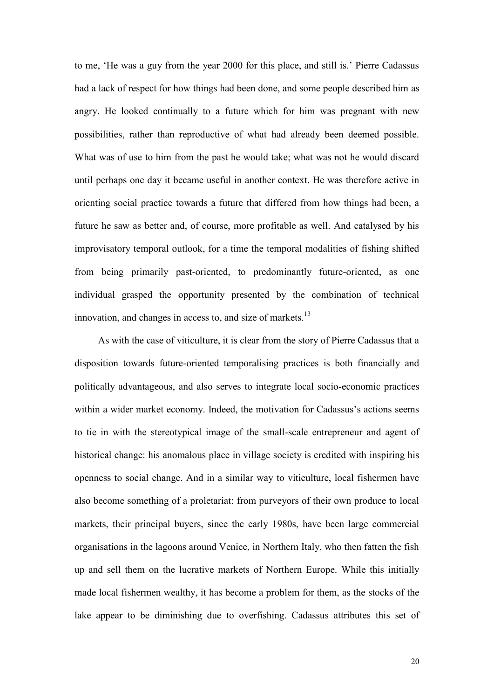to me, 'He was a guy from the year 2000 for this place, and still is.' Pierre Cadassus had a lack of respect for how things had been done, and some people described him as angry. He looked continually to a future which for him was pregnant with new possibilities, rather than reproductive of what had already been deemed possible. What was of use to him from the past he would take; what was not he would discard until perhaps one day it became useful in another context. He was therefore active in orienting social practice towards a future that differed from how things had been, a future he saw as better and, of course, more profitable as well. And catalysed by his improvisatory temporal outlook, for a time the temporal modalities of fishing shifted from being primarily past-oriented, to predominantly future-oriented, as one individual grasped the opportunity presented by the combination of technical innovation, and changes in access to, and size of markets. $13$ 

 As with the case of viticulture, it is clear from the story of Pierre Cadassus that a disposition towards future-oriented temporalising practices is both financially and politically advantageous, and also serves to integrate local socio-economic practices within a wider market economy. Indeed, the motivation for Cadassus's actions seems to tie in with the stereotypical image of the small-scale entrepreneur and agent of historical change: his anomalous place in village society is credited with inspiring his openness to social change. And in a similar way to viticulture, local fishermen have also become something of a proletariat: from purveyors of their own produce to local markets, their principal buyers, since the early 1980s, have been large commercial organisations in the lagoons around Venice, in Northern Italy, who then fatten the fish up and sell them on the lucrative markets of Northern Europe. While this initially made local fishermen wealthy, it has become a problem for them, as the stocks of the lake appear to be diminishing due to overfishing. Cadassus attributes this set of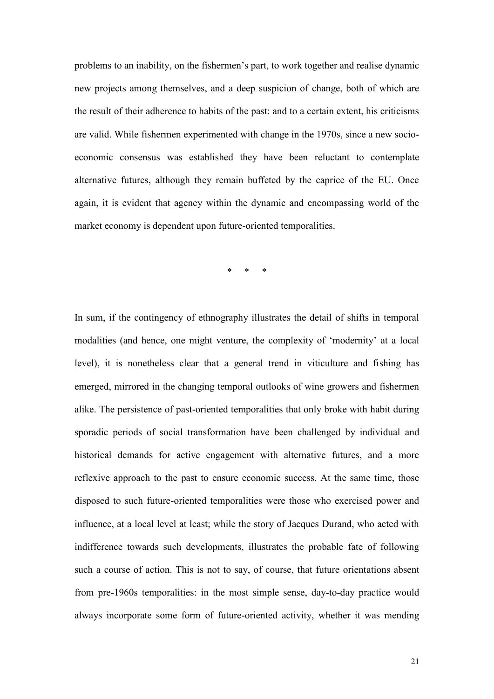problems to an inability, on the fishermen's part, to work together and realise dynamic new projects among themselves, and a deep suspicion of change, both of which are the result of their adherence to habits of the past: and to a certain extent, his criticisms are valid. While fishermen experimented with change in the 1970s, since a new socioeconomic consensus was established they have been reluctant to contemplate alternative futures, although they remain buffeted by the caprice of the EU. Once again, it is evident that agency within the dynamic and encompassing world of the market economy is dependent upon future-oriented temporalities.

\* \* \*

In sum, if the contingency of ethnography illustrates the detail of shifts in temporal modalities (and hence, one might venture, the complexity of 'modernity' at a local level), it is nonetheless clear that a general trend in viticulture and fishing has emerged, mirrored in the changing temporal outlooks of wine growers and fishermen alike. The persistence of past-oriented temporalities that only broke with habit during sporadic periods of social transformation have been challenged by individual and historical demands for active engagement with alternative futures, and a more reflexive approach to the past to ensure economic success. At the same time, those disposed to such future-oriented temporalities were those who exercised power and influence, at a local level at least; while the story of Jacques Durand, who acted with indifference towards such developments, illustrates the probable fate of following such a course of action. This is not to say, of course, that future orientations absent from pre-1960s temporalities: in the most simple sense, day-to-day practice would always incorporate some form of future-oriented activity, whether it was mending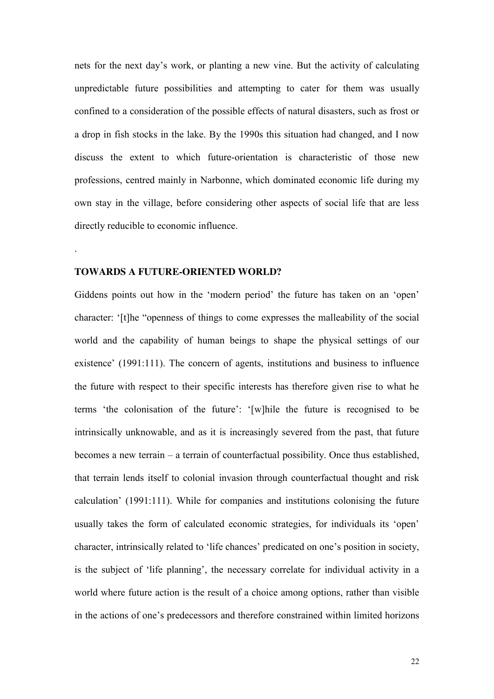nets for the next day's work, or planting a new vine. But the activity of calculating unpredictable future possibilities and attempting to cater for them was usually confined to a consideration of the possible effects of natural disasters, such as frost or a drop in fish stocks in the lake. By the 1990s this situation had changed, and I now discuss the extent to which future-orientation is characteristic of those new professions, centred mainly in Narbonne, which dominated economic life during my own stay in the village, before considering other aspects of social life that are less directly reducible to economic influence.

#### **TOWARDS A FUTURE-ORIENTED WORLD?**

.

Giddens points out how in the 'modern period' the future has taken on an 'open' character: '[t]he "openness of things to come expresses the malleability of the social world and the capability of human beings to shape the physical settings of our existence' (1991:111). The concern of agents, institutions and business to influence the future with respect to their specific interests has therefore given rise to what he terms 'the colonisation of the future': '[w]hile the future is recognised to be intrinsically unknowable, and as it is increasingly severed from the past, that future becomes a new terrain – a terrain of counterfactual possibility. Once thus established, that terrain lends itself to colonial invasion through counterfactual thought and risk calculation' (1991:111). While for companies and institutions colonising the future usually takes the form of calculated economic strategies, for individuals its 'open' character, intrinsically related to 'life chances' predicated on one's position in society, is the subject of 'life planning', the necessary correlate for individual activity in a world where future action is the result of a choice among options, rather than visible in the actions of one's predecessors and therefore constrained within limited horizons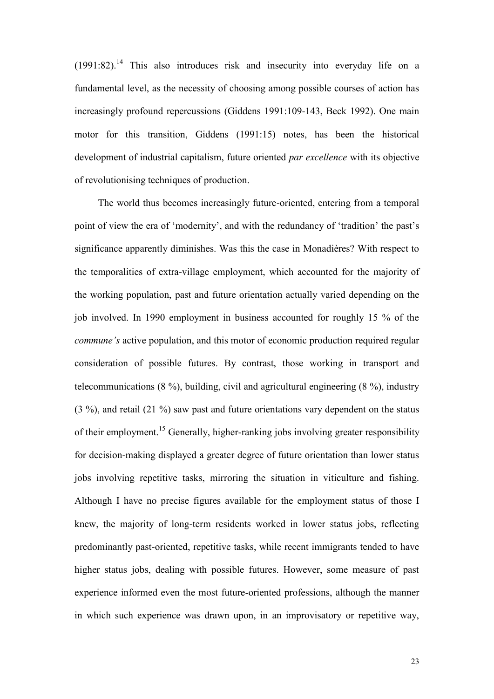$(1991:82)$ <sup>14</sup> This also introduces risk and insecurity into everyday life on a fundamental level, as the necessity of choosing among possible courses of action has increasingly profound repercussions (Giddens 1991:109-143, Beck 1992). One main motor for this transition, Giddens (1991:15) notes, has been the historical development of industrial capitalism, future oriented *par excellence* with its objective of revolutionising techniques of production.

 The world thus becomes increasingly future-oriented, entering from a temporal point of view the era of 'modernity', and with the redundancy of 'tradition' the past's significance apparently diminishes. Was this the case in Monadières? With respect to the temporalities of extra-village employment, which accounted for the majority of the working population, past and future orientation actually varied depending on the job involved. In 1990 employment in business accounted for roughly 15 % of the *commune's* active population, and this motor of economic production required regular consideration of possible futures. By contrast, those working in transport and telecommunications (8 %), building, civil and agricultural engineering (8 %), industry (3 %), and retail (21 %) saw past and future orientations vary dependent on the status of their employment.<sup>15</sup> Generally, higher-ranking jobs involving greater responsibility for decision-making displayed a greater degree of future orientation than lower status jobs involving repetitive tasks, mirroring the situation in viticulture and fishing. Although I have no precise figures available for the employment status of those I knew, the majority of long-term residents worked in lower status jobs, reflecting predominantly past-oriented, repetitive tasks, while recent immigrants tended to have higher status jobs, dealing with possible futures. However, some measure of past experience informed even the most future-oriented professions, although the manner in which such experience was drawn upon, in an improvisatory or repetitive way,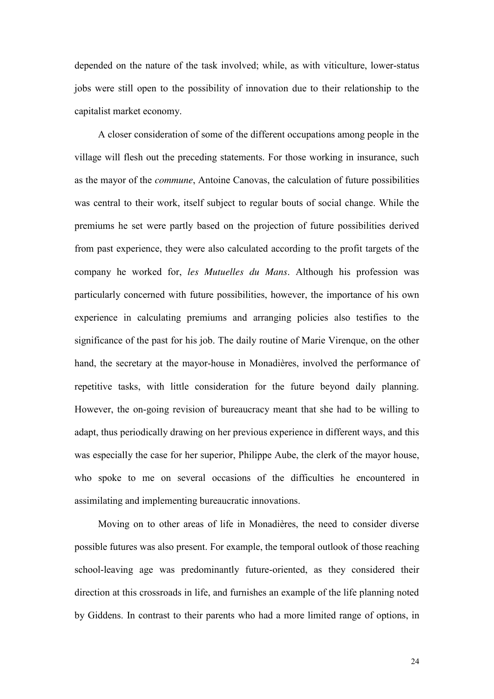depended on the nature of the task involved; while, as with viticulture, lower-status jobs were still open to the possibility of innovation due to their relationship to the capitalist market economy.

 A closer consideration of some of the different occupations among people in the village will flesh out the preceding statements. For those working in insurance, such as the mayor of the *commune*, Antoine Canovas, the calculation of future possibilities was central to their work, itself subject to regular bouts of social change. While the premiums he set were partly based on the projection of future possibilities derived from past experience, they were also calculated according to the profit targets of the company he worked for, *les Mutuelles du Mans*. Although his profession was particularly concerned with future possibilities, however, the importance of his own experience in calculating premiums and arranging policies also testifies to the significance of the past for his job. The daily routine of Marie Virenque, on the other hand, the secretary at the mayor-house in Monadières, involved the performance of repetitive tasks, with little consideration for the future beyond daily planning. However, the on-going revision of bureaucracy meant that she had to be willing to adapt, thus periodically drawing on her previous experience in different ways, and this was especially the case for her superior, Philippe Aube, the clerk of the mayor house, who spoke to me on several occasions of the difficulties he encountered in assimilating and implementing bureaucratic innovations.

 Moving on to other areas of life in Monadières, the need to consider diverse possible futures was also present. For example, the temporal outlook of those reaching school-leaving age was predominantly future-oriented, as they considered their direction at this crossroads in life, and furnishes an example of the life planning noted by Giddens. In contrast to their parents who had a more limited range of options, in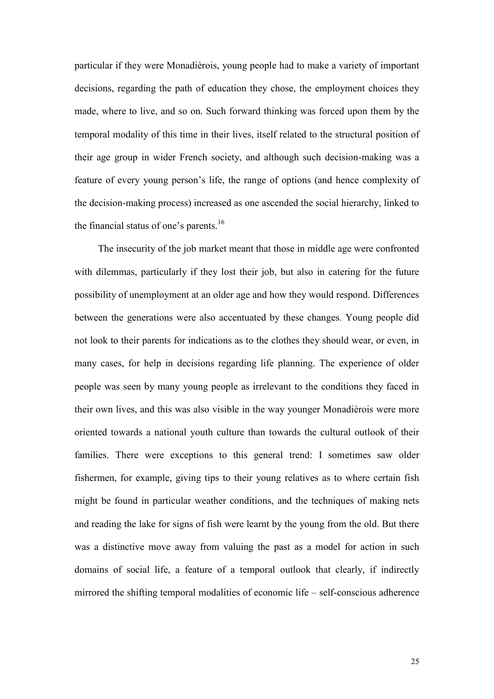particular if they were Monadièrois, young people had to make a variety of important decisions, regarding the path of education they chose, the employment choices they made, where to live, and so on. Such forward thinking was forced upon them by the temporal modality of this time in their lives, itself related to the structural position of their age group in wider French society, and although such decision-making was a feature of every young person's life, the range of options (and hence complexity of the decision-making process) increased as one ascended the social hierarchy, linked to the financial status of one's parents.<sup>16</sup>

 The insecurity of the job market meant that those in middle age were confronted with dilemmas, particularly if they lost their job, but also in catering for the future possibility of unemployment at an older age and how they would respond. Differences between the generations were also accentuated by these changes. Young people did not look to their parents for indications as to the clothes they should wear, or even, in many cases, for help in decisions regarding life planning. The experience of older people was seen by many young people as irrelevant to the conditions they faced in their own lives, and this was also visible in the way younger Monadièrois were more oriented towards a national youth culture than towards the cultural outlook of their families. There were exceptions to this general trend: I sometimes saw older fishermen, for example, giving tips to their young relatives as to where certain fish might be found in particular weather conditions, and the techniques of making nets and reading the lake for signs of fish were learnt by the young from the old. But there was a distinctive move away from valuing the past as a model for action in such domains of social life, a feature of a temporal outlook that clearly, if indirectly mirrored the shifting temporal modalities of economic life – self-conscious adherence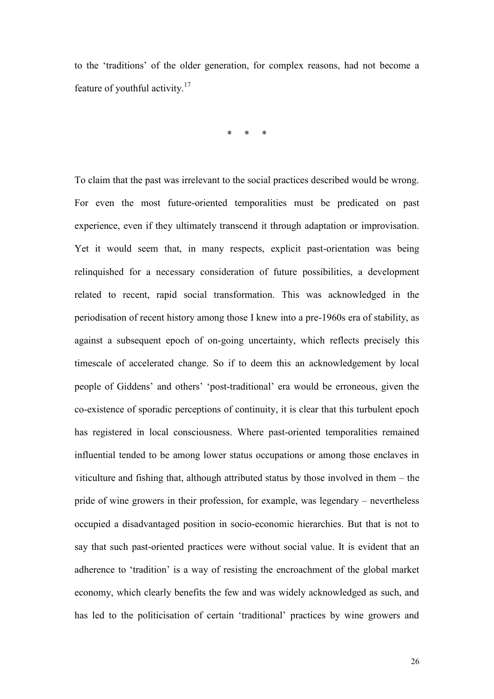to the 'traditions' of the older generation, for complex reasons, had not become a feature of youthful activity.<sup>17</sup>

\* \* \*

To claim that the past was irrelevant to the social practices described would be wrong. For even the most future-oriented temporalities must be predicated on past experience, even if they ultimately transcend it through adaptation or improvisation. Yet it would seem that, in many respects, explicit past-orientation was being relinquished for a necessary consideration of future possibilities, a development related to recent, rapid social transformation. This was acknowledged in the periodisation of recent history among those I knew into a pre-1960s era of stability, as against a subsequent epoch of on-going uncertainty, which reflects precisely this timescale of accelerated change. So if to deem this an acknowledgement by local people of Giddens' and others' 'post-traditional' era would be erroneous, given the co-existence of sporadic perceptions of continuity, it is clear that this turbulent epoch has registered in local consciousness. Where past-oriented temporalities remained influential tended to be among lower status occupations or among those enclaves in viticulture and fishing that, although attributed status by those involved in them – the pride of wine growers in their profession, for example, was legendary – nevertheless occupied a disadvantaged position in socio-economic hierarchies. But that is not to say that such past-oriented practices were without social value. It is evident that an adherence to 'tradition' is a way of resisting the encroachment of the global market economy, which clearly benefits the few and was widely acknowledged as such, and has led to the politicisation of certain 'traditional' practices by wine growers and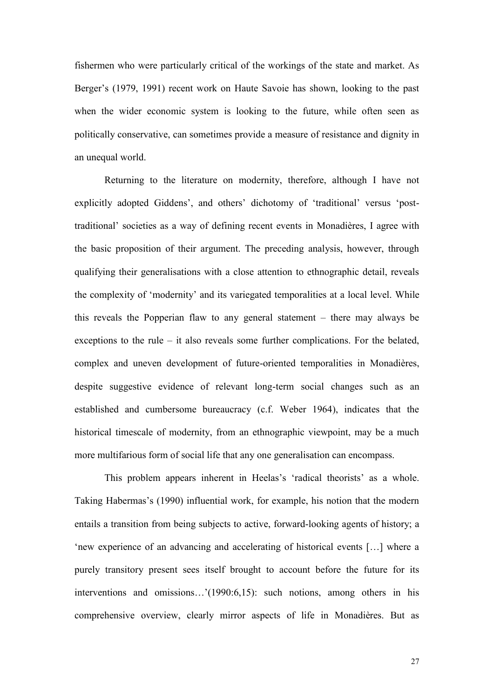fishermen who were particularly critical of the workings of the state and market. As Berger's (1979, 1991) recent work on Haute Savoie has shown, looking to the past when the wider economic system is looking to the future, while often seen as politically conservative, can sometimes provide a measure of resistance and dignity in an unequal world.

Returning to the literature on modernity, therefore, although I have not explicitly adopted Giddens', and others' dichotomy of 'traditional' versus 'posttraditional' societies as a way of defining recent events in Monadières, I agree with the basic proposition of their argument. The preceding analysis, however, through qualifying their generalisations with a close attention to ethnographic detail, reveals the complexity of 'modernity' and its variegated temporalities at a local level. While this reveals the Popperian flaw to any general statement – there may always be exceptions to the rule – it also reveals some further complications. For the belated, complex and uneven development of future-oriented temporalities in Monadières, despite suggestive evidence of relevant long-term social changes such as an established and cumbersome bureaucracy (c.f. Weber 1964), indicates that the historical timescale of modernity, from an ethnographic viewpoint, may be a much more multifarious form of social life that any one generalisation can encompass.

This problem appears inherent in Heelas's 'radical theorists' as a whole. Taking Habermas's (1990) influential work, for example, his notion that the modern entails a transition from being subjects to active, forward-looking agents of history; a 'new experience of an advancing and accelerating of historical events […] where a purely transitory present sees itself brought to account before the future for its interventions and omissions…'(1990:6,15): such notions, among others in his comprehensive overview, clearly mirror aspects of life in Monadières. But as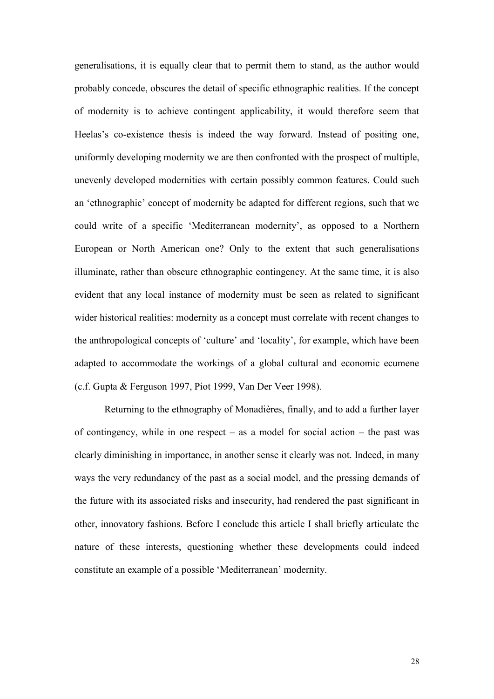generalisations, it is equally clear that to permit them to stand, as the author would probably concede, obscures the detail of specific ethnographic realities. If the concept of modernity is to achieve contingent applicability, it would therefore seem that Heelas's co-existence thesis is indeed the way forward. Instead of positing one, uniformly developing modernity we are then confronted with the prospect of multiple, unevenly developed modernities with certain possibly common features. Could such an 'ethnographic' concept of modernity be adapted for different regions, such that we could write of a specific 'Mediterranean modernity', as opposed to a Northern European or North American one? Only to the extent that such generalisations illuminate, rather than obscure ethnographic contingency. At the same time, it is also evident that any local instance of modernity must be seen as related to significant wider historical realities: modernity as a concept must correlate with recent changes to the anthropological concepts of 'culture' and 'locality', for example, which have been adapted to accommodate the workings of a global cultural and economic ecumene (c.f. Gupta & Ferguson 1997, Piot 1999, Van Der Veer 1998).

Returning to the ethnography of Monadières, finally, and to add a further layer of contingency, while in one respect – as a model for social action – the past was clearly diminishing in importance, in another sense it clearly was not. Indeed, in many ways the very redundancy of the past as a social model, and the pressing demands of the future with its associated risks and insecurity, had rendered the past significant in other, innovatory fashions. Before I conclude this article I shall briefly articulate the nature of these interests, questioning whether these developments could indeed constitute an example of a possible 'Mediterranean' modernity.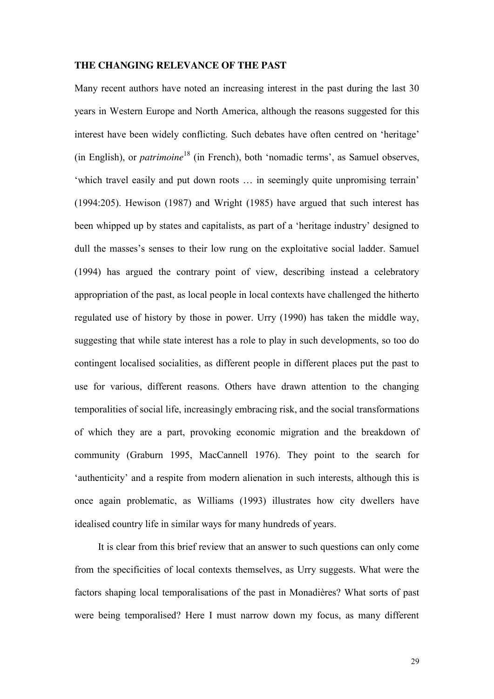#### **THE CHANGING RELEVANCE OF THE PAST**

Many recent authors have noted an increasing interest in the past during the last 30 years in Western Europe and North America, although the reasons suggested for this interest have been widely conflicting. Such debates have often centred on 'heritage' (in English), or *patrimoine*<sup>18</sup> (in French), both 'nomadic terms', as Samuel observes, 'which travel easily and put down roots … in seemingly quite unpromising terrain' (1994:205). Hewison (1987) and Wright (1985) have argued that such interest has been whipped up by states and capitalists, as part of a 'heritage industry' designed to dull the masses's senses to their low rung on the exploitative social ladder. Samuel (1994) has argued the contrary point of view, describing instead a celebratory appropriation of the past, as local people in local contexts have challenged the hitherto regulated use of history by those in power. Urry (1990) has taken the middle way, suggesting that while state interest has a role to play in such developments, so too do contingent localised socialities, as different people in different places put the past to use for various, different reasons. Others have drawn attention to the changing temporalities of social life, increasingly embracing risk, and the social transformations of which they are a part, provoking economic migration and the breakdown of community (Graburn 1995, MacCannell 1976). They point to the search for 'authenticity' and a respite from modern alienation in such interests, although this is once again problematic, as Williams (1993) illustrates how city dwellers have idealised country life in similar ways for many hundreds of years.

 It is clear from this brief review that an answer to such questions can only come from the specificities of local contexts themselves, as Urry suggests. What were the factors shaping local temporalisations of the past in Monadières? What sorts of past were being temporalised? Here I must narrow down my focus, as many different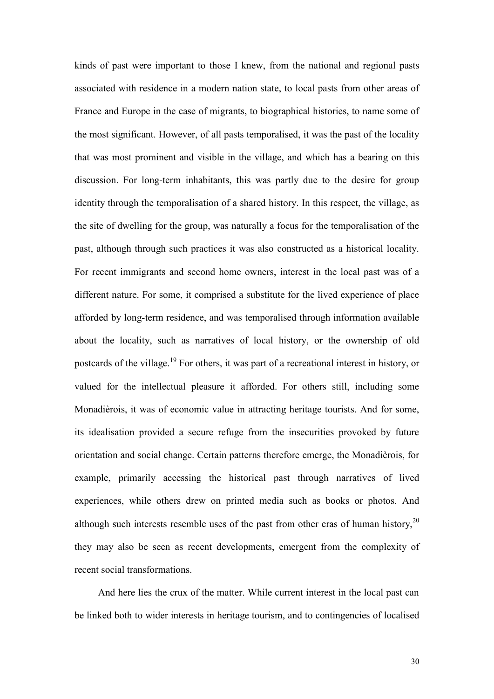kinds of past were important to those I knew, from the national and regional pasts associated with residence in a modern nation state, to local pasts from other areas of France and Europe in the case of migrants, to biographical histories, to name some of the most significant. However, of all pasts temporalised, it was the past of the locality that was most prominent and visible in the village, and which has a bearing on this discussion. For long-term inhabitants, this was partly due to the desire for group identity through the temporalisation of a shared history. In this respect, the village, as the site of dwelling for the group, was naturally a focus for the temporalisation of the past, although through such practices it was also constructed as a historical locality. For recent immigrants and second home owners, interest in the local past was of a different nature. For some, it comprised a substitute for the lived experience of place afforded by long-term residence, and was temporalised through information available about the locality, such as narratives of local history, or the ownership of old postcards of the village.<sup>19</sup> For others, it was part of a recreational interest in history, or valued for the intellectual pleasure it afforded. For others still, including some Monadièrois, it was of economic value in attracting heritage tourists. And for some, its idealisation provided a secure refuge from the insecurities provoked by future orientation and social change. Certain patterns therefore emerge, the Monadièrois, for example, primarily accessing the historical past through narratives of lived experiences, while others drew on printed media such as books or photos. And although such interests resemble uses of the past from other eras of human history,  $2^{0}$ they may also be seen as recent developments, emergent from the complexity of recent social transformations.

 And here lies the crux of the matter. While current interest in the local past can be linked both to wider interests in heritage tourism, and to contingencies of localised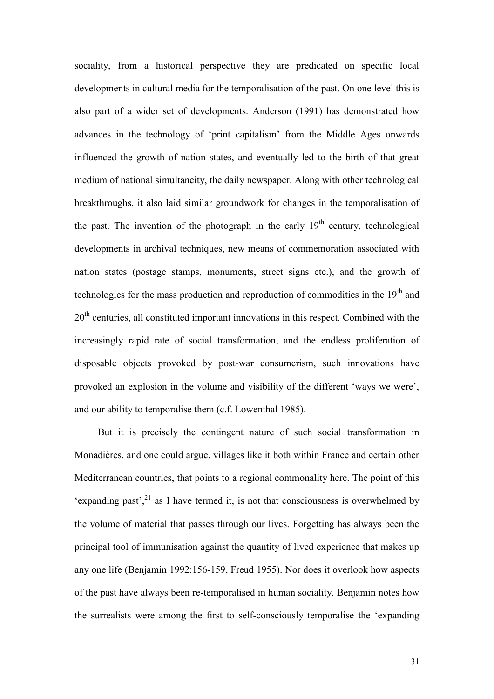sociality, from a historical perspective they are predicated on specific local developments in cultural media for the temporalisation of the past. On one level this is also part of a wider set of developments. Anderson (1991) has demonstrated how advances in the technology of 'print capitalism' from the Middle Ages onwards influenced the growth of nation states, and eventually led to the birth of that great medium of national simultaneity, the daily newspaper. Along with other technological breakthroughs, it also laid similar groundwork for changes in the temporalisation of the past. The invention of the photograph in the early  $19<sup>th</sup>$  century, technological developments in archival techniques, new means of commemoration associated with nation states (postage stamps, monuments, street signs etc.), and the growth of technologies for the mass production and reproduction of commodities in the 19<sup>th</sup> and 20<sup>th</sup> centuries, all constituted important innovations in this respect. Combined with the increasingly rapid rate of social transformation, and the endless proliferation of disposable objects provoked by post-war consumerism, such innovations have provoked an explosion in the volume and visibility of the different 'ways we were', and our ability to temporalise them (c.f. Lowenthal 1985).

 But it is precisely the contingent nature of such social transformation in Monadières, and one could argue, villages like it both within France and certain other Mediterranean countries, that points to a regional commonality here. The point of this 'expanding past',  $^{21}$  as I have termed it, is not that consciousness is overwhelmed by the volume of material that passes through our lives. Forgetting has always been the principal tool of immunisation against the quantity of lived experience that makes up any one life (Benjamin 1992:156-159, Freud 1955). Nor does it overlook how aspects of the past have always been re-temporalised in human sociality. Benjamin notes how the surrealists were among the first to self-consciously temporalise the 'expanding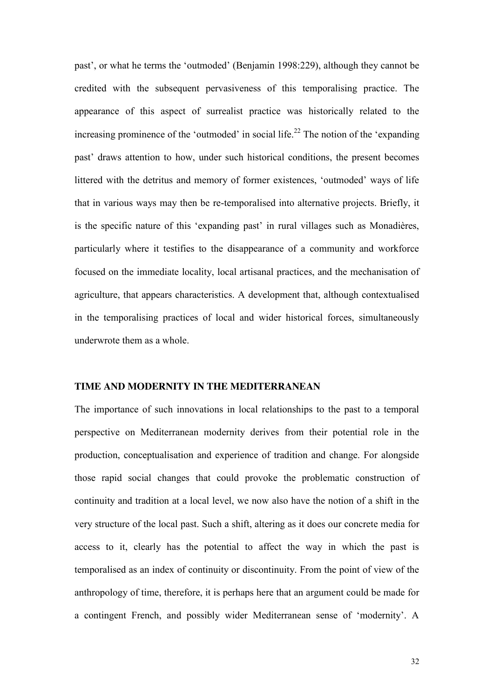past', or what he terms the 'outmoded' (Benjamin 1998:229), although they cannot be credited with the subsequent pervasiveness of this temporalising practice. The appearance of this aspect of surrealist practice was historically related to the increasing prominence of the 'outmoded' in social life.<sup>22</sup> The notion of the 'expanding past' draws attention to how, under such historical conditions, the present becomes littered with the detritus and memory of former existences, 'outmoded' ways of life that in various ways may then be re-temporalised into alternative projects. Briefly, it is the specific nature of this 'expanding past' in rural villages such as Monadières, particularly where it testifies to the disappearance of a community and workforce focused on the immediate locality, local artisanal practices, and the mechanisation of agriculture, that appears characteristics. A development that, although contextualised in the temporalising practices of local and wider historical forces, simultaneously underwrote them as a whole.

#### **TIME AND MODERNITY IN THE MEDITERRANEAN**

The importance of such innovations in local relationships to the past to a temporal perspective on Mediterranean modernity derives from their potential role in the production, conceptualisation and experience of tradition and change. For alongside those rapid social changes that could provoke the problematic construction of continuity and tradition at a local level, we now also have the notion of a shift in the very structure of the local past. Such a shift, altering as it does our concrete media for access to it, clearly has the potential to affect the way in which the past is temporalised as an index of continuity or discontinuity. From the point of view of the anthropology of time, therefore, it is perhaps here that an argument could be made for a contingent French, and possibly wider Mediterranean sense of 'modernity'. A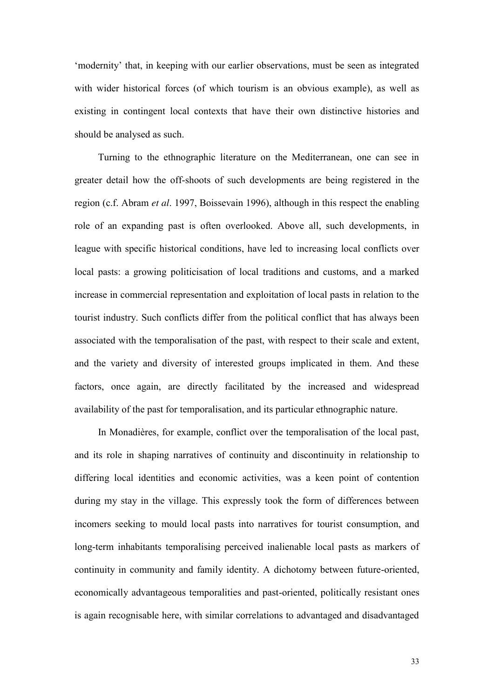'modernity' that, in keeping with our earlier observations, must be seen as integrated with wider historical forces (of which tourism is an obvious example), as well as existing in contingent local contexts that have their own distinctive histories and should be analysed as such.

 Turning to the ethnographic literature on the Mediterranean, one can see in greater detail how the off-shoots of such developments are being registered in the region (c.f. Abram *et al*. 1997, Boissevain 1996), although in this respect the enabling role of an expanding past is often overlooked. Above all, such developments, in league with specific historical conditions, have led to increasing local conflicts over local pasts: a growing politicisation of local traditions and customs, and a marked increase in commercial representation and exploitation of local pasts in relation to the tourist industry. Such conflicts differ from the political conflict that has always been associated with the temporalisation of the past, with respect to their scale and extent, and the variety and diversity of interested groups implicated in them. And these factors, once again, are directly facilitated by the increased and widespread availability of the past for temporalisation, and its particular ethnographic nature.

 In Monadières, for example, conflict over the temporalisation of the local past, and its role in shaping narratives of continuity and discontinuity in relationship to differing local identities and economic activities, was a keen point of contention during my stay in the village. This expressly took the form of differences between incomers seeking to mould local pasts into narratives for tourist consumption, and long-term inhabitants temporalising perceived inalienable local pasts as markers of continuity in community and family identity. A dichotomy between future-oriented, economically advantageous temporalities and past-oriented, politically resistant ones is again recognisable here, with similar correlations to advantaged and disadvantaged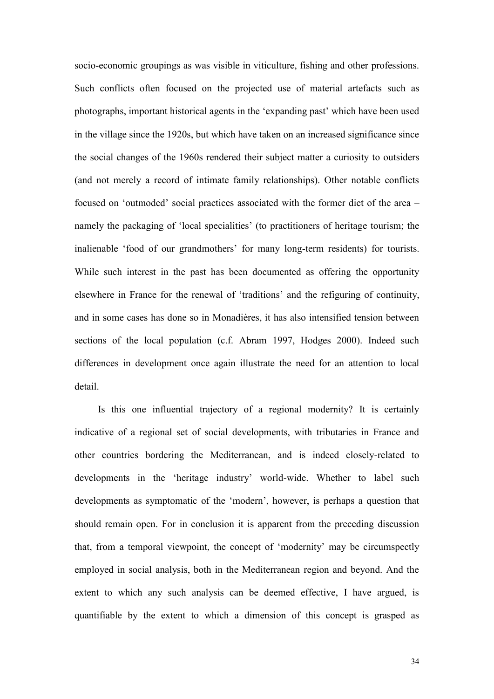socio-economic groupings as was visible in viticulture, fishing and other professions. Such conflicts often focused on the projected use of material artefacts such as photographs, important historical agents in the 'expanding past' which have been used in the village since the 1920s, but which have taken on an increased significance since the social changes of the 1960s rendered their subject matter a curiosity to outsiders (and not merely a record of intimate family relationships). Other notable conflicts focused on 'outmoded' social practices associated with the former diet of the area – namely the packaging of 'local specialities' (to practitioners of heritage tourism; the inalienable 'food of our grandmothers' for many long-term residents) for tourists. While such interest in the past has been documented as offering the opportunity elsewhere in France for the renewal of 'traditions' and the refiguring of continuity, and in some cases has done so in Monadières, it has also intensified tension between sections of the local population (c.f. Abram 1997, Hodges 2000). Indeed such differences in development once again illustrate the need for an attention to local detail.

 Is this one influential trajectory of a regional modernity? It is certainly indicative of a regional set of social developments, with tributaries in France and other countries bordering the Mediterranean, and is indeed closely-related to developments in the 'heritage industry' world-wide. Whether to label such developments as symptomatic of the 'modern', however, is perhaps a question that should remain open. For in conclusion it is apparent from the preceding discussion that, from a temporal viewpoint, the concept of 'modernity' may be circumspectly employed in social analysis, both in the Mediterranean region and beyond. And the extent to which any such analysis can be deemed effective, I have argued, is quantifiable by the extent to which a dimension of this concept is grasped as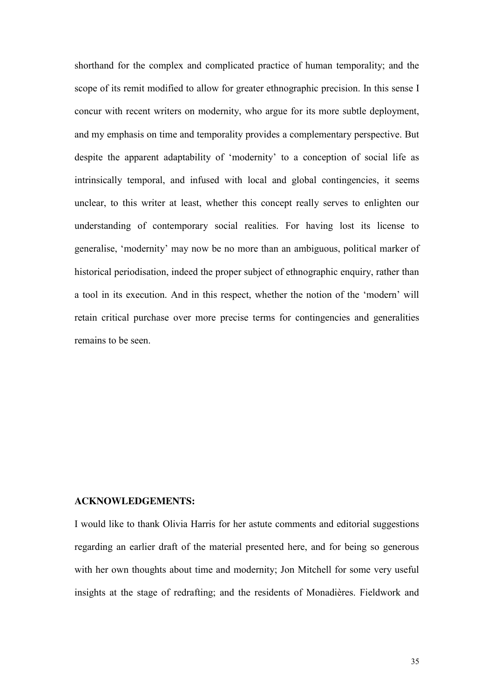shorthand for the complex and complicated practice of human temporality; and the scope of its remit modified to allow for greater ethnographic precision. In this sense I concur with recent writers on modernity, who argue for its more subtle deployment, and my emphasis on time and temporality provides a complementary perspective. But despite the apparent adaptability of 'modernity' to a conception of social life as intrinsically temporal, and infused with local and global contingencies, it seems unclear, to this writer at least, whether this concept really serves to enlighten our understanding of contemporary social realities. For having lost its license to generalise, 'modernity' may now be no more than an ambiguous, political marker of historical periodisation, indeed the proper subject of ethnographic enquiry, rather than a tool in its execution. And in this respect, whether the notion of the 'modern' will retain critical purchase over more precise terms for contingencies and generalities remains to be seen.

#### **ACKNOWLEDGEMENTS:**

I would like to thank Olivia Harris for her astute comments and editorial suggestions regarding an earlier draft of the material presented here, and for being so generous with her own thoughts about time and modernity; Jon Mitchell for some very useful insights at the stage of redrafting; and the residents of Monadières. Fieldwork and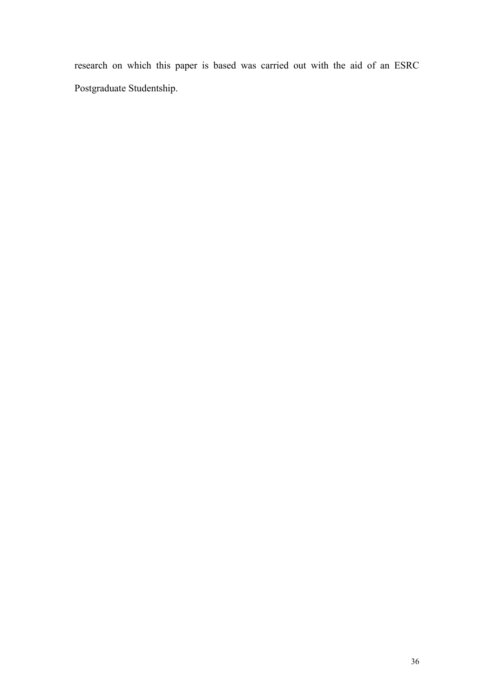research on which this paper is based was carried out with the aid of an ESRC Postgraduate Studentship.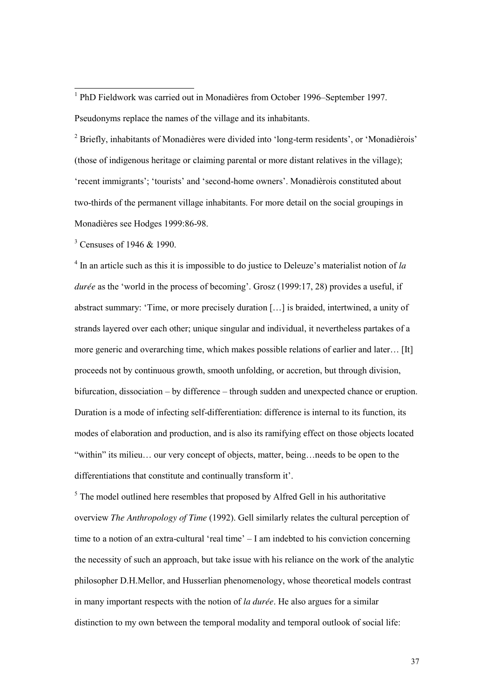<sup>2</sup> Briefly, inhabitants of Monadières were divided into 'long-term residents', or 'Monadièrois' (those of indigenous heritage or claiming parental or more distant relatives in the village); 'recent immigrants'; 'tourists' and 'second-home owners'. Monadièrois constituted about two-thirds of the permanent village inhabitants. For more detail on the social groupings in Monadières see Hodges 1999:86-98.

<sup>3</sup> Censuses of 1946 & 1990.

-

4 In an article such as this it is impossible to do justice to Deleuze's materialist notion of *la durée* as the 'world in the process of becoming'. Grosz (1999:17, 28) provides a useful, if abstract summary: 'Time, or more precisely duration […] is braided, intertwined, a unity of strands layered over each other; unique singular and individual, it nevertheless partakes of a more generic and overarching time, which makes possible relations of earlier and later… [It] proceeds not by continuous growth, smooth unfolding, or accretion, but through division, bifurcation, dissociation – by difference – through sudden and unexpected chance or eruption. Duration is a mode of infecting self-differentiation: difference is internal to its function, its modes of elaboration and production, and is also its ramifying effect on those objects located "within" its milieu… our very concept of objects, matter, being…needs to be open to the differentiations that constitute and continually transform it'.

 $<sup>5</sup>$  The model outlined here resembles that proposed by Alfred Gell in his authoritative</sup> overview *The Anthropology of Time* (1992). Gell similarly relates the cultural perception of time to a notion of an extra-cultural 'real time' – I am indebted to his conviction concerning the necessity of such an approach, but take issue with his reliance on the work of the analytic philosopher D.H.Mellor, and Husserlian phenomenology, whose theoretical models contrast in many important respects with the notion of *la durée*. He also argues for a similar distinction to my own between the temporal modality and temporal outlook of social life:

<sup>&</sup>lt;sup>1</sup> PhD Fieldwork was carried out in Monadières from October 1996–September 1997. Pseudonyms replace the names of the village and its inhabitants.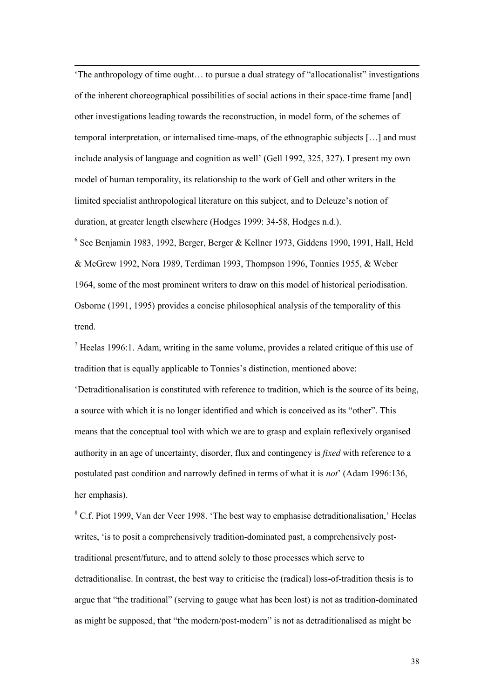'The anthropology of time ought… to pursue a dual strategy of "allocationalist" investigations of the inherent choreographical possibilities of social actions in their space-time frame [and] other investigations leading towards the reconstruction, in model form, of the schemes of temporal interpretation, or internalised time-maps, of the ethnographic subjects […] and must include analysis of language and cognition as well' (Gell 1992, 325, 327). I present my own model of human temporality, its relationship to the work of Gell and other writers in the limited specialist anthropological literature on this subject, and to Deleuze's notion of duration, at greater length elsewhere (Hodges 1999: 34-58, Hodges n.d.).

-

6 See Benjamin 1983, 1992, Berger, Berger & Kellner 1973, Giddens 1990, 1991, Hall, Held & McGrew 1992, Nora 1989, Terdiman 1993, Thompson 1996, Tonnies 1955, & Weber 1964, some of the most prominent writers to draw on this model of historical periodisation. Osborne (1991, 1995) provides a concise philosophical analysis of the temporality of this trend.

 $<sup>7</sup>$  Heelas 1996:1. Adam, writing in the same volume, provides a related critique of this use of</sup> tradition that is equally applicable to Tonnies's distinction, mentioned above:

'Detraditionalisation is constituted with reference to tradition, which is the source of its being, a source with which it is no longer identified and which is conceived as its "other". This means that the conceptual tool with which we are to grasp and explain reflexively organised authority in an age of uncertainty, disorder, flux and contingency is *fixed* with reference to a postulated past condition and narrowly defined in terms of what it is *not*' (Adam 1996:136, her emphasis).

<sup>8</sup> C.f. Piot 1999, Van der Veer 1998. 'The best way to emphasise detraditionalisation,' Heelas writes, 'is to posit a comprehensively tradition-dominated past, a comprehensively posttraditional present/future, and to attend solely to those processes which serve to detraditionalise. In contrast, the best way to criticise the (radical) loss-of-tradition thesis is to argue that "the traditional" (serving to gauge what has been lost) is not as tradition-dominated as might be supposed, that "the modern/post-modern" is not as detraditionalised as might be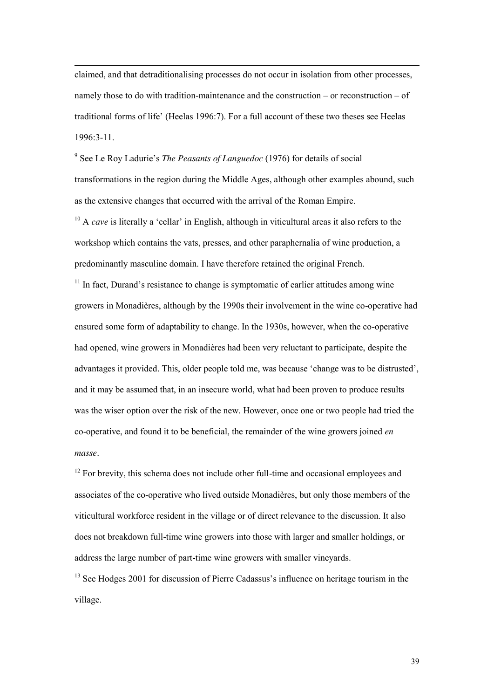claimed, and that detraditionalising processes do not occur in isolation from other processes, namely those to do with tradition-maintenance and the construction – or reconstruction – of traditional forms of life' (Heelas 1996:7). For a full account of these two theses see Heelas 1996:3-11.

-

9 See Le Roy Ladurie's *The Peasants of Languedoc* (1976) for details of social transformations in the region during the Middle Ages, although other examples abound, such as the extensive changes that occurred with the arrival of the Roman Empire.

<sup>10</sup> A *cave* is literally a 'cellar' in English, although in viticultural areas it also refers to the workshop which contains the vats, presses, and other paraphernalia of wine production, a predominantly masculine domain. I have therefore retained the original French.

<sup>11</sup> In fact. Durand's resistance to change is symptomatic of earlier attitudes among wine growers in Monadières, although by the 1990s their involvement in the wine co-operative had ensured some form of adaptability to change. In the 1930s, however, when the co-operative had opened, wine growers in Monadières had been very reluctant to participate, despite the advantages it provided. This, older people told me, was because 'change was to be distrusted', and it may be assumed that, in an insecure world, what had been proven to produce results was the wiser option over the risk of the new. However, once one or two people had tried the co-operative, and found it to be beneficial, the remainder of the wine growers joined *en masse*.

 $12$  For brevity, this schema does not include other full-time and occasional employees and associates of the co-operative who lived outside Monadières, but only those members of the viticultural workforce resident in the village or of direct relevance to the discussion. It also does not breakdown full-time wine growers into those with larger and smaller holdings, or address the large number of part-time wine growers with smaller vineyards.

<sup>13</sup> See Hodges 2001 for discussion of Pierre Cadassus's influence on heritage tourism in the village.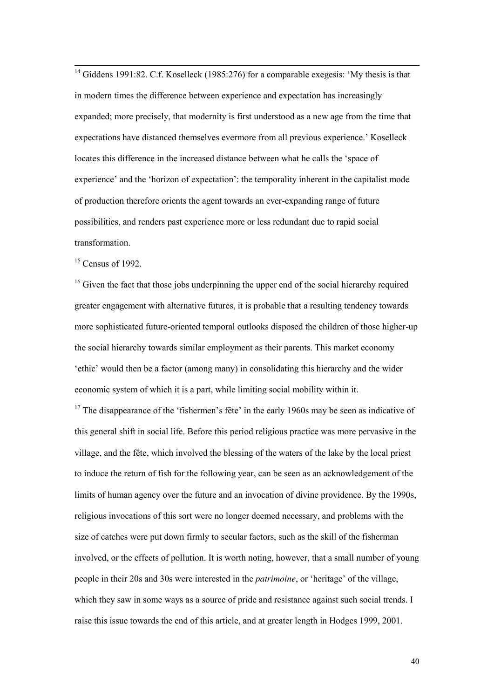$14$  Giddens 1991:82. C.f. Koselleck (1985:276) for a comparable exegesis: 'My thesis is that in modern times the difference between experience and expectation has increasingly expanded; more precisely, that modernity is first understood as a new age from the time that expectations have distanced themselves evermore from all previous experience.' Koselleck locates this difference in the increased distance between what he calls the 'space of experience' and the 'horizon of expectation': the temporality inherent in the capitalist mode of production therefore orients the agent towards an ever-expanding range of future possibilities, and renders past experience more or less redundant due to rapid social transformation.

 $15$  Census of 1992.

-

<sup>16</sup> Given the fact that those jobs underpinning the upper end of the social hierarchy required greater engagement with alternative futures, it is probable that a resulting tendency towards more sophisticated future-oriented temporal outlooks disposed the children of those higher-up the social hierarchy towards similar employment as their parents. This market economy 'ethic' would then be a factor (among many) in consolidating this hierarchy and the wider economic system of which it is a part, while limiting social mobility within it.

 $17$  The disappearance of the 'fishermen's fête' in the early 1960s may be seen as indicative of this general shift in social life. Before this period religious practice was more pervasive in the village, and the fête, which involved the blessing of the waters of the lake by the local priest to induce the return of fish for the following year, can be seen as an acknowledgement of the limits of human agency over the future and an invocation of divine providence. By the 1990s, religious invocations of this sort were no longer deemed necessary, and problems with the size of catches were put down firmly to secular factors, such as the skill of the fisherman involved, or the effects of pollution. It is worth noting, however, that a small number of young people in their 20s and 30s were interested in the *patrimoine*, or 'heritage' of the village, which they saw in some ways as a source of pride and resistance against such social trends. I raise this issue towards the end of this article, and at greater length in Hodges 1999, 2001.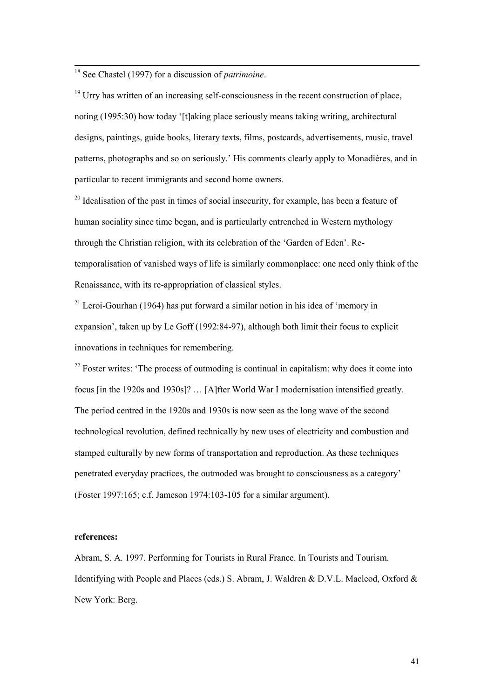<sup>18</sup> See Chastel (1997) for a discussion of *patrimoine*.

-

<sup>19</sup> Urry has written of an increasing self-consciousness in the recent construction of place, noting (1995:30) how today '[t]aking place seriously means taking writing, architectural designs, paintings, guide books, literary texts, films, postcards, advertisements, music, travel patterns, photographs and so on seriously.' His comments clearly apply to Monadières, and in particular to recent immigrants and second home owners.

 $20$  Idealisation of the past in times of social insecurity, for example, has been a feature of human sociality since time began, and is particularly entrenched in Western mythology through the Christian religion, with its celebration of the 'Garden of Eden'. Retemporalisation of vanished ways of life is similarly commonplace: one need only think of the Renaissance, with its re-appropriation of classical styles.

 $21$  Leroi-Gourhan (1964) has put forward a similar notion in his idea of 'memory in expansion', taken up by Le Goff (1992:84-97), although both limit their focus to explicit innovations in techniques for remembering.

 $22$  Foster writes: 'The process of outmoding is continual in capitalism: why does it come into focus [in the 1920s and 1930s]? … [A]fter World War I modernisation intensified greatly. The period centred in the 1920s and 1930s is now seen as the long wave of the second technological revolution, defined technically by new uses of electricity and combustion and stamped culturally by new forms of transportation and reproduction. As these techniques penetrated everyday practices, the outmoded was brought to consciousness as a category' (Foster 1997:165; c.f. Jameson 1974:103-105 for a similar argument).

#### **references:**

Abram, S. A. 1997. Performing for Tourists in Rural France. In Tourists and Tourism. Identifying with People and Places (eds.) S. Abram, J. Waldren & D.V.L. Macleod, Oxford & New York: Berg.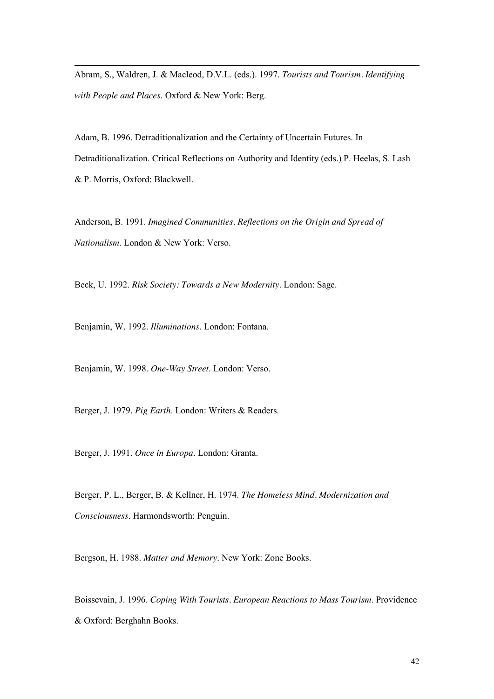Abram, S., Waldren, J. & Macleod, D.V.L. (eds.). 1997. *Tourists and Tourism. Identifying with People and Places*. Oxford & New York: Berg.

Adam, B. 1996. Detraditionalization and the Certainty of Uncertain Futures. In Detraditionalization. Critical Reflections on Authority and Identity (eds.) P. Heelas, S. Lash & P. Morris, Oxford: Blackwell.

Anderson, B. 1991. *Imagined Communities. Reflections on the Origin and Spread of Nationalism*. London & New York: Verso.

Beck, U. 1992. *Risk Society: Towards a New Modernity*. London: Sage.

Benjamin, W. 1992. *Illuminations*. London: Fontana.

-

Benjamin, W. 1998. *One-Way Street*. London: Verso.

Berger, J. 1979. *Pig Earth*. London: Writers & Readers.

Berger, J. 1991. *Once in Europa*. London: Granta.

Berger, P. L., Berger, B. & Kellner, H. 1974. *The Homeless Mind. Modernization and Consciousness*. Harmondsworth: Penguin.

Bergson, H. 1988. *Matter and Memory*. New York: Zone Books.

Boissevain, J. 1996. *Coping With Tourists. European Reactions to Mass Tourism*. Providence & Oxford: Berghahn Books.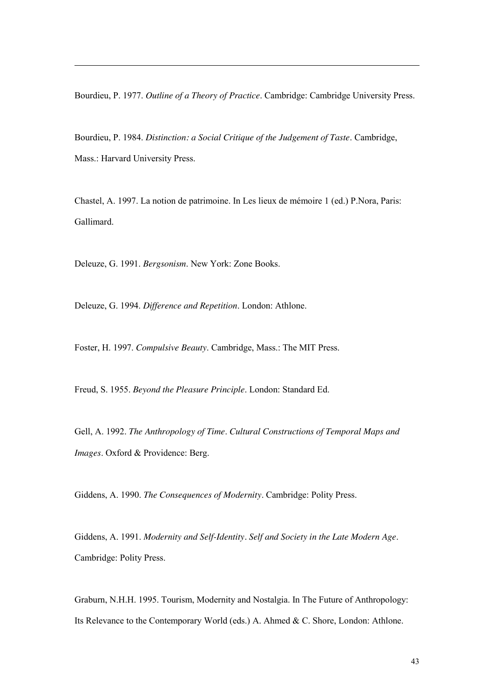Bourdieu, P. 1977. *Outline of a Theory of Practice*. Cambridge: Cambridge University Press.

Bourdieu, P. 1984. *Distinction: a Social Critique of the Judgement of Taste*. Cambridge, Mass.: Harvard University Press.

Chastel, A. 1997. La notion de patrimoine. In Les lieux de mémoire 1 (ed.) P.Nora, Paris: Gallimard.

Deleuze, G. 1991. *Bergsonism*. New York: Zone Books.

-

Deleuze, G. 1994. *Difference and Repetition*. London: Athlone.

Foster, H. 1997. *Compulsive Beauty*. Cambridge, Mass.: The MIT Press.

Freud, S. 1955. *Beyond the Pleasure Principle*. London: Standard Ed.

Gell, A. 1992. *The Anthropology of Time*. *Cultural Constructions of Temporal Maps and Images*. Oxford & Providence: Berg.

Giddens, A. 1990. *The Consequences of Modernity*. Cambridge: Polity Press.

Giddens, A. 1991. *Modernity and Self-Identity. Self and Society in the Late Modern Age*. Cambridge: Polity Press.

Graburn, N.H.H. 1995. Tourism, Modernity and Nostalgia. In The Future of Anthropology: Its Relevance to the Contemporary World (eds.) A. Ahmed & C. Shore, London: Athlone.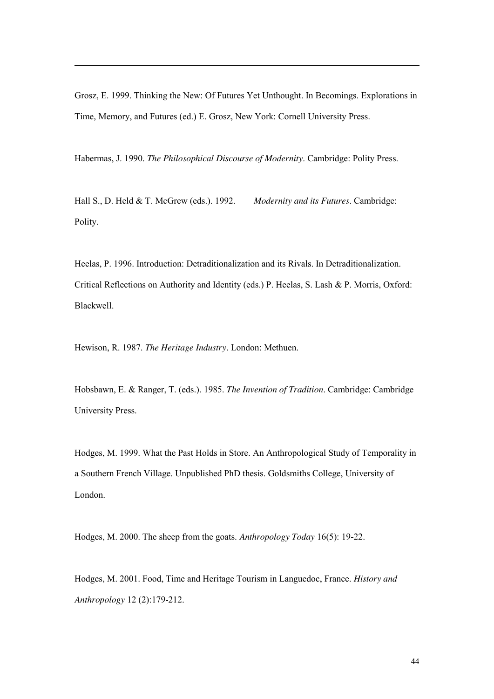Grosz, E. 1999. Thinking the New: Of Futures Yet Unthought. In Becomings. Explorations in Time, Memory, and Futures (ed.) E. Grosz, New York: Cornell University Press.

Habermas, J. 1990. *The Philosophical Discourse of Modernity*. Cambridge: Polity Press.

Hall S., D. Held & T. McGrew (eds.). 1992. *Modernity and its Futures*. Cambridge: Polity.

Heelas, P. 1996. Introduction: Detraditionalization and its Rivals. In Detraditionalization. Critical Reflections on Authority and Identity (eds.) P. Heelas, S. Lash & P. Morris, Oxford: Blackwell.

Hewison, R. 1987. *The Heritage Industry*. London: Methuen.

-

Hobsbawn, E. & Ranger, T. (eds.). 1985. *The Invention of Tradition*. Cambridge: Cambridge University Press.

Hodges, M. 1999. What the Past Holds in Store. An Anthropological Study of Temporality in a Southern French Village. Unpublished PhD thesis. Goldsmiths College, University of London.

Hodges, M. 2000. The sheep from the goats. *Anthropology Today* 16(5): 19-22.

Hodges, M. 2001. Food, Time and Heritage Tourism in Languedoc, France. *History and Anthropology* 12 (2):179-212.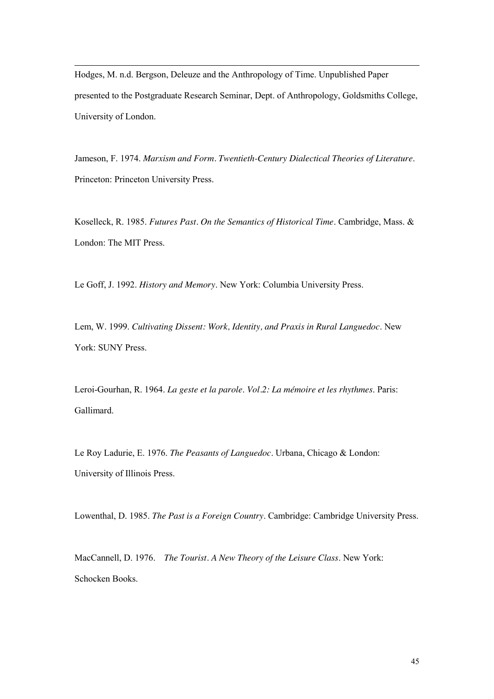Hodges, M. n.d. Bergson, Deleuze and the Anthropology of Time. Unpublished Paper presented to the Postgraduate Research Seminar, Dept. of Anthropology, Goldsmiths College, University of London.

-

Jameson, F. 1974. *Marxism and Form. Twentieth-Century Dialectical Theories of Literature*. Princeton: Princeton University Press.

Koselleck, R. 1985. *Futures Past. On the Semantics of Historical Time*. Cambridge, Mass. & London: The MIT Press.

Le Goff, J. 1992. *History and Memory*. New York: Columbia University Press.

Lem, W. 1999. *Cultivating Dissent: Work, Identity, and Praxis in Rural Languedoc*. New York: SUNY Press.

Leroi-Gourhan, R. 1964. *La geste et la parole*. *Vol.2: La mémoire et les rhythmes*. Paris: Gallimard.

Le Roy Ladurie, E. 1976. *The Peasants of Languedoc*. Urbana, Chicago & London: University of Illinois Press.

Lowenthal, D. 1985. *The Past is a Foreign Country*. Cambridge: Cambridge University Press.

MacCannell, D. 1976. *The Tourist. A New Theory of the Leisure Class*. New York: Schocken Books.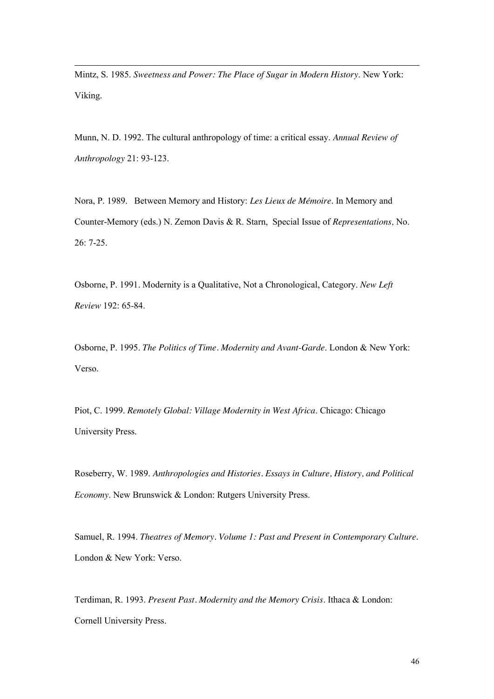Mintz, S. 1985. *Sweetness and Power: The Place of Sugar in Modern History*. New York: Viking.

-

Munn, N. D. 1992. The cultural anthropology of time: a critical essay. *Annual Review of Anthropology* 21: 93-123.

Nora, P. 1989. Between Memory and History: *Les Lieux de Mémoire*. In Memory and Counter-Memory (eds.) N. Zemon Davis & R. Starn, Special Issue of *Representations,* No. 26: 7-25.

Osborne, P. 1991. Modernity is a Qualitative, Not a Chronological, Category. *New Left Review* 192: 65-84.

Osborne, P. 1995. *The Politics of Time. Modernity and Avant-Garde*. London & New York: Verso.

Piot, C. 1999. *Remotely Global: Village Modernity in West Africa*. Chicago: Chicago University Press.

Roseberry, W. 1989. *Anthropologies and Histories. Essays in Culture, History, and Political Economy*. New Brunswick & London: Rutgers University Press.

Samuel, R. 1994. *Theatres of Memory. Volume 1: Past and Present in Contemporary Culture*. London & New York: Verso.

Terdiman, R. 1993. *Present Past. Modernity and the Memory Crisis*. Ithaca & London: Cornell University Press.